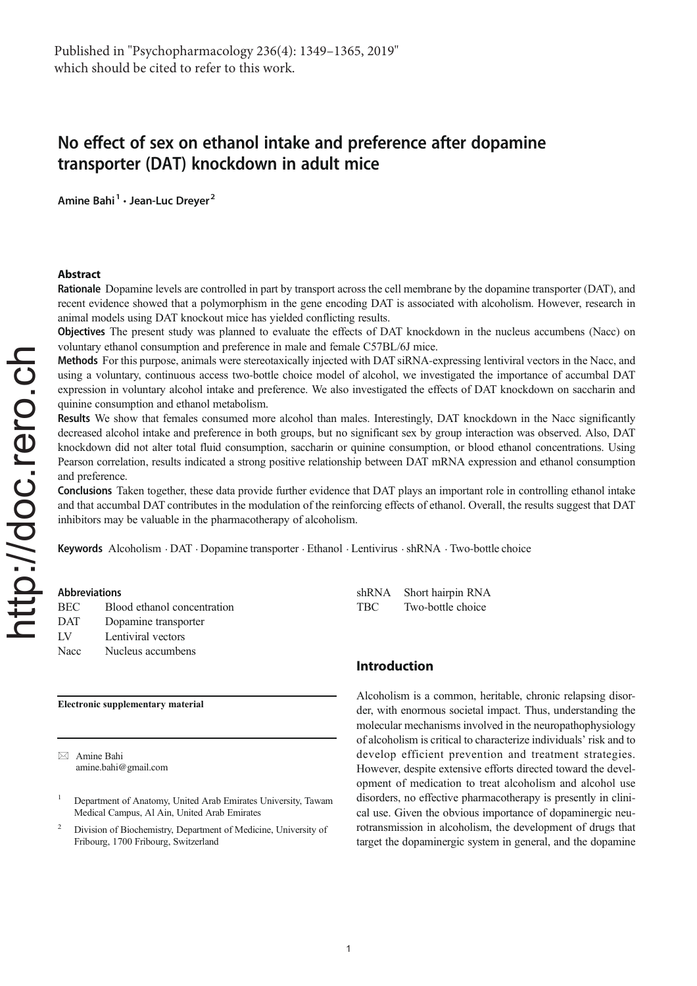# No effect of sex on ethanol intake and preference after dopamine transporter (DAT) knockdown in adult mice

Amine Bahi<sup>1</sup> • Jean-Luc Dreyer<sup>2</sup>

## Abstract

Rationale Dopamine levels are controlled in part by transport across the cell membrane by the dopamine transporter (DAT), and recent evidence showed that a polymorphism in the gene encoding DAT is associated with alcoholism. However, research in animal models using DAT knockout mice has yielded conflicting results.

Objectives The present study was planned to evaluate the effects of DAT knockdown in the nucleus accumbens (Nacc) on voluntary ethanol consumption and preference in male and female C57BL/6J mice.

Methods For this purpose, animals were stereotaxically injected with DAT siRNA-expressing lentiviral vectors in the Nacc, and using a voluntary, continuous access two-bottle choice model of alcohol, we investigated the importance of accumbal DAT expression in voluntary alcohol intake and preference. We also investigated the effects of DAT knockdown on saccharin and quinine consumption and ethanol metabolism.

Results We show that females consumed more alcohol than males. Interestingly, DAT knockdown in the Nacc significantly decreased alcohol intake and preference in both groups, but no significant sex by group interaction was observed. Also, DAT knockdown did not alter total fluid consumption, saccharin or quinine consumption, or blood ethanol concentrations. Using Pearson correlation, results indicated a strong positive relationship between DAT mRNA expression and ethanol consumption and preference.

Conclusions Taken together, these data provide further evidence that DAT plays an important role in controlling ethanol intake and that accumbal DAT contributes in the modulation of the reinforcing effects of ethanol. Overall, the results suggest that DAT inhibitors may be valuable in the pharmacotherapy of alcoholism.

Keywords Alcoholism  $\cdot$  DAT  $\cdot$  Dopamine transporter  $\cdot$  Ethanol  $\cdot$  Lentivirus  $\cdot$  shRNA  $\cdot$  Two-bottle choice

#### Abbreviations

| <b>BEC</b> | Blood ethanol concentration |
|------------|-----------------------------|
| <b>DAT</b> | Dopamine transporter        |
| LV         | Lentiviral vectors          |
| Nacc       | Nucleus accumbens           |

#### Electronic supplementary material

 $\boxtimes$  Amine Bahi amine.bahi@gmail.com

- <sup>1</sup> Department of Anatomy, United Arab Emirates University, Tawam Medical Campus, Al Ain, United Arab Emirates
- <sup>2</sup> Division of Biochemistry, Department of Medicine, University of Fribourg, 1700 Fribourg, Switzerland

| shRNA | Short hairpin RNA |
|-------|-------------------|
| TBC   | Two-bottle choice |

# Introduction

Alcoholism is a common, heritable, chronic relapsing disorder, with enormous societal impact. Thus, understanding the molecular mechanisms involved in the neuropathophysiology of alcoholism is critical to characterize individuals' risk and to develop efficient prevention and treatment strategies. However, despite extensive efforts directed toward the development of medication to treat alcoholism and alcohol use disorders, no effective pharmacotherapy is presently in clinical use. Given the obvious importance of dopaminergic neurotransmission in alcoholism, the development of drugs that target the dopaminergic system in general, and the dopamine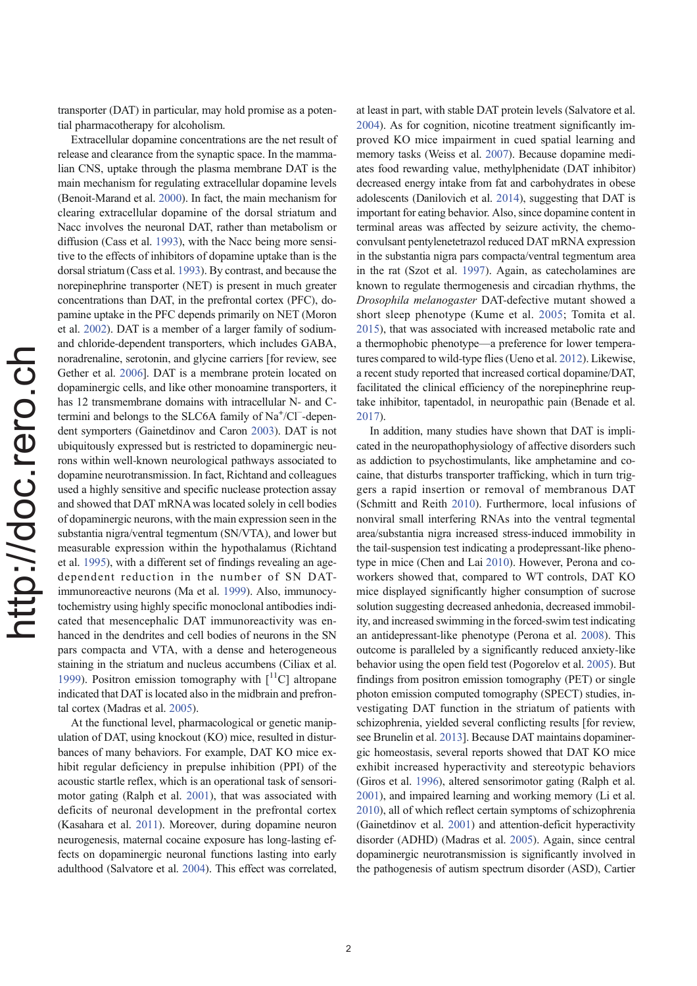transporter (DAT) in particular, may hold promise as a potential pharmacotherapy for alcoholism.

Extracellular dopamine concentrations are the net result of release and clearance from the synaptic space. In the mammalian CNS, uptake through the plasma membrane DAT is the main mechanism for regulating extracellular dopamine levels (Benoit-Marand et al. 2000). In fact, the main mechanism for clearing extracellular dopamine of the dorsal striatum and Nacc involves the neuronal DAT, rather than metabolism or diffusion (Cass et al. 1993), with the Nacc being more sensitive to the effects of inhibitors of dopamine uptake than is the dorsal striatum (Cass et al. 1993). By contrast, and because the norepinephrine transporter (NET) is present in much greater concentrations than DAT, in the prefrontal cortex (PFC), dopamine uptake in the PFC depends primarily on NET (Moron et al. 2002). DAT is a member of a larger family of sodiumand chloride-dependent transporters, which includes GABA, noradrenaline, serotonin, and glycine carriers [for review, see Gether et al. 2006]. DAT is a membrane protein located on dopaminergic cells, and like other monoamine transporters, it has 12 transmembrane domains with intracellular N- and Ctermini and belongs to the SLC6A family of Na<sup>+</sup>/Cl<sup>-</sup>-dependent symporters (Gainetdinov and Caron 2003). DAT is not ubiquitously expressed but is restricted to dopaminergic neurons within well-known neurological pathways associated to dopamine neurotransmission. In fact, Richtand and colleagues used a highly sensitive and specific nuclease protection assay and showed that DAT mRNAwas located solely in cell bodies of dopaminergic neurons, with the main expression seen in the substantia nigra/ventral tegmentum (SN/VTA), and lower but measurable expression within the hypothalamus (Richtand et al. 1995), with a different set of findings revealing an agedependent reduction in the number of SN DATimmunoreactive neurons (Ma et al. 1999). Also, immunocytochemistry using highly specific monoclonal antibodies indicated that mesencephalic DAT immunoreactivity was enhanced in the dendrites and cell bodies of neurons in the SN pars compacta and VTA, with a dense and heterogeneous staining in the striatum and nucleus accumbens (Ciliax et al. 1999). Positron emission tomography with  $\lceil {^{11}C} \rceil$  altropane indicated that DAT is located also in the midbrain and prefrontal cortex (Madras et al. 2005).

At the functional level, pharmacological or genetic manipulation of DAT, using knockout (KO) mice, resulted in disturbances of many behaviors. For example, DAT KO mice exhibit regular deficiency in prepulse inhibition (PPI) of the acoustic startle reflex, which is an operational task of sensorimotor gating (Ralph et al. 2001), that was associated with deficits of neuronal development in the prefrontal cortex (Kasahara et al. 2011). Moreover, during dopamine neuron neurogenesis, maternal cocaine exposure has long-lasting effects on dopaminergic neuronal functions lasting into early adulthood (Salvatore et al. 2004). This effect was correlated, at least in part, with stable DAT protein levels (Salvatore et al. 2004). As for cognition, nicotine treatment significantly improved KO mice impairment in cued spatial learning and memory tasks (Weiss et al. 2007). Because dopamine mediates food rewarding value, methylphenidate (DAT inhibitor) decreased energy intake from fat and carbohydrates in obese adolescents (Danilovich et al. 2014), suggesting that DAT is important for eating behavior. Also, since dopamine content in terminal areas was affected by seizure activity, the chemoconvulsant pentylenetetrazol reduced DAT mRNA expression in the substantia nigra pars compacta/ventral tegmentum area in the rat (Szot et al. 1997). Again, as catecholamines are known to regulate thermogenesis and circadian rhythms, the Drosophila melanogaster DAT-defective mutant showed a short sleep phenotype (Kume et al. 2005; Tomita et al. 2015), that was associated with increased metabolic rate and a thermophobic phenotype—a preference for lower temperatures compared to wild-type flies (Ueno et al. 2012). Likewise, a recent study reported that increased cortical dopamine/DAT, facilitated the clinical efficiency of the norepinephrine reuptake inhibitor, tapentadol, in neuropathic pain (Benade et al. 2017).

In addition, many studies have shown that DAT is implicated in the neuropathophysiology of affective disorders such as addiction to psychostimulants, like amphetamine and cocaine, that disturbs transporter trafficking, which in turn triggers a rapid insertion or removal of membranous DAT (Schmitt and Reith 2010). Furthermore, local infusions of nonviral small interfering RNAs into the ventral tegmental area/substantia nigra increased stress-induced immobility in the tail-suspension test indicating a prodepressant-like phenotype in mice (Chen and Lai 2010). However, Perona and coworkers showed that, compared to WT controls, DAT KO mice displayed significantly higher consumption of sucrose solution suggesting decreased anhedonia, decreased immobility, and increased swimming in the forced-swim test indicating an antidepressant-like phenotype (Perona et al. 2008). This outcome is paralleled by a significantly reduced anxiety-like behavior using the open field test (Pogorelov et al. 2005). But findings from positron emission tomography (PET) or single photon emission computed tomography (SPECT) studies, investigating DAT function in the striatum of patients with schizophrenia, yielded several conflicting results [for review, see Brunelin et al. 2013]. Because DAT maintains dopaminergic homeostasis, several reports showed that DAT KO mice exhibit increased hyperactivity and stereotypic behaviors (Giros et al. 1996), altered sensorimotor gating (Ralph et al. 2001), and impaired learning and working memory (Li et al. 2010), all of which reflect certain symptoms of schizophrenia (Gainetdinov et al. 2001) and attention-deficit hyperactivity disorder (ADHD) (Madras et al. 2005). Again, since central dopaminergic neurotransmission is significantly involved in the pathogenesis of autism spectrum disorder (ASD), Cartier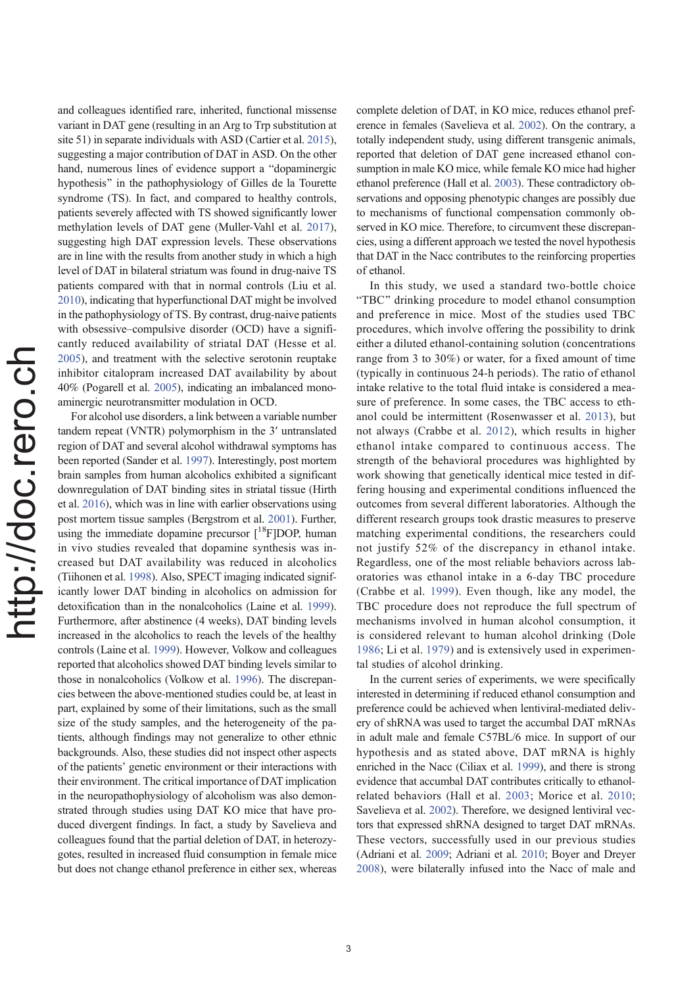and colleagues identified rare, inherited, functional missense variant in DAT gene (resulting in an Arg to Trp substitution at site 51) in separate individuals with ASD (Cartier et al. 2015), suggesting a major contribution of DAT in ASD. On the other hand, numerous lines of evidence support a "dopaminergic hypothesis" in the pathophysiology of Gilles de la Tourette syndrome (TS). In fact, and compared to healthy controls, patients severely affected with TS showed significantly lower methylation levels of DAT gene (Muller-Vahl et al. 2017), suggesting high DAT expression levels. These observations are in line with the results from another study in which a high level of DAT in bilateral striatum was found in drug-naive TS patients compared with that in normal controls (Liu et al. 2010), indicating that hyperfunctional DAT might be involved in the pathophysiology of TS. By contrast, drug-naive patients with obsessive–compulsive disorder (OCD) have a significantly reduced availability of striatal DAT (Hesse et al. 2005), and treatment with the selective serotonin reuptake inhibitor citalopram increased DAT availability by about 40% (Pogarell et al. 2005), indicating an imbalanced monoaminergic neurotransmitter modulation in OCD.

For alcohol use disorders, a link between a variable number tandem repeat (VNTR) polymorphism in the 3′ untranslated region of DAT and several alcohol withdrawal symptoms has been reported (Sander et al. 1997). Interestingly, post mortem brain samples from human alcoholics exhibited a significant downregulation of DAT binding sites in striatal tissue (Hirth et al. 2016), which was in line with earlier observations using post mortem tissue samples (Bergstrom et al. 2001). Further, using the immediate dopamine precursor  $[18F]$ DOP, human in vivo studies revealed that dopamine synthesis was increased but DAT availability was reduced in alcoholics (Tiihonen et al. 1998). Also, SPECT imaging indicated significantly lower DAT binding in alcoholics on admission for detoxification than in the nonalcoholics (Laine et al. 1999). Furthermore, after abstinence (4 weeks), DAT binding levels increased in the alcoholics to reach the levels of the healthy controls (Laine et al. 1999). However, Volkow and colleagues reported that alcoholics showed DAT binding levels similar to those in nonalcoholics (Volkow et al. 1996). The discrepancies between the above-mentioned studies could be, at least in part, explained by some of their limitations, such as the small size of the study samples, and the heterogeneity of the patients, although findings may not generalize to other ethnic backgrounds. Also, these studies did not inspect other aspects of the patients' genetic environment or their interactions with their environment. The critical importance of DAT implication in the neuropathophysiology of alcoholism was also demonstrated through studies using DAT KO mice that have produced divergent findings. In fact, a study by Savelieva and colleagues found that the partial deletion of DAT, in heterozygotes, resulted in increased fluid consumption in female mice but does not change ethanol preference in either sex, whereas

complete deletion of DAT, in KO mice, reduces ethanol preference in females (Savelieva et al. 2002). On the contrary, a totally independent study, using different transgenic animals, reported that deletion of DAT gene increased ethanol consumption in male KO mice, while female KO mice had higher ethanol preference (Hall et al. 2003). These contradictory observations and opposing phenotypic changes are possibly due to mechanisms of functional compensation commonly observed in KO mice. Therefore, to circumvent these discrepancies, using a different approach we tested the novel hypothesis that DAT in the Nacc contributes to the reinforcing properties of ethanol.

In this study, we used a standard two-bottle choice "TBC" drinking procedure to model ethanol consumption and preference in mice. Most of the studies used TBC procedures, which involve offering the possibility to drink either a diluted ethanol-containing solution (concentrations range from 3 to 30%) or water, for a fixed amount of time (typically in continuous 24-h periods). The ratio of ethanol intake relative to the total fluid intake is considered a measure of preference. In some cases, the TBC access to ethanol could be intermittent (Rosenwasser et al. 2013), but not always (Crabbe et al. 2012), which results in higher ethanol intake compared to continuous access. The strength of the behavioral procedures was highlighted by work showing that genetically identical mice tested in differing housing and experimental conditions influenced the outcomes from several different laboratories. Although the different research groups took drastic measures to preserve matching experimental conditions, the researchers could not justify 52% of the discrepancy in ethanol intake. Regardless, one of the most reliable behaviors across laboratories was ethanol intake in a 6-day TBC procedure (Crabbe et al. 1999). Even though, like any model, the TBC procedure does not reproduce the full spectrum of mechanisms involved in human alcohol consumption, it is considered relevant to human alcohol drinking (Dole 1986; Li et al. 1979) and is extensively used in experimental studies of alcohol drinking.

In the current series of experiments, we were specifically interested in determining if reduced ethanol consumption and preference could be achieved when lentiviral-mediated delivery of shRNA was used to target the accumbal DAT mRNAs in adult male and female C57BL/6 mice. In support of our hypothesis and as stated above, DAT mRNA is highly enriched in the Nacc (Ciliax et al. 1999), and there is strong evidence that accumbal DAT contributes critically to ethanolrelated behaviors (Hall et al. 2003; Morice et al. 2010; Savelieva et al. 2002). Therefore, we designed lentiviral vectors that expressed shRNA designed to target DAT mRNAs. These vectors, successfully used in our previous studies (Adriani et al. 2009; Adriani et al. 2010; Boyer and Dreyer 2008), were bilaterally infused into the Nacc of male and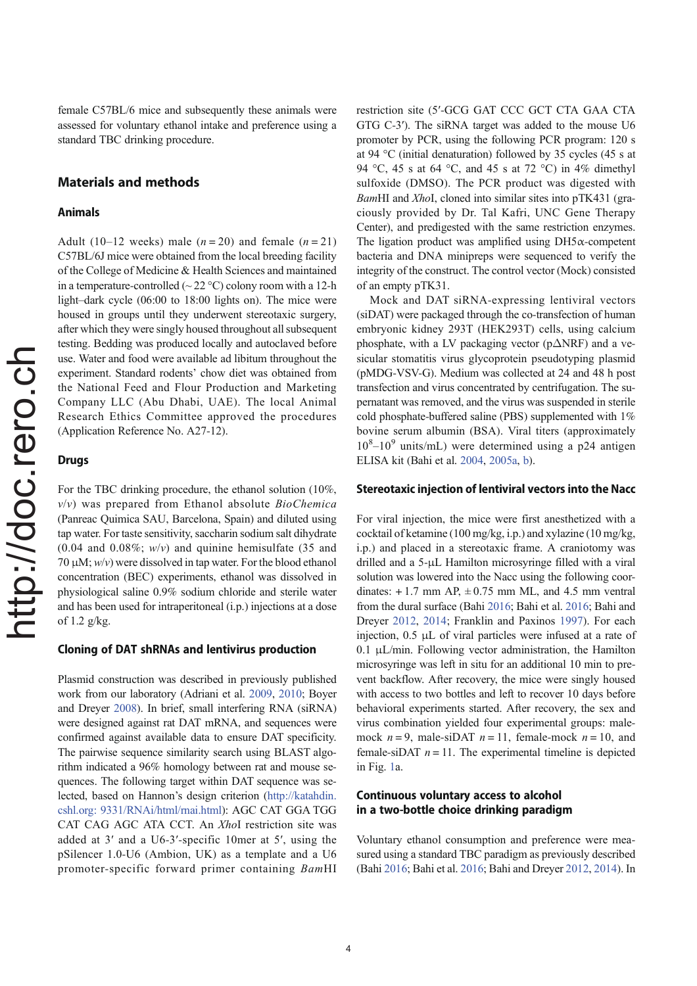female C57BL/6 mice and subsequently these animals were assessed for voluntary ethanol intake and preference using a standard TBC drinking procedure.

# Materials and methods

## Animals

Adult (10–12 weeks) male  $(n = 20)$  and female  $(n = 21)$ C57BL/6J mice were obtained from the local breeding facility of the College of Medicine & Health Sciences and maintained in a temperature-controlled ( $\sim$  22 °C) colony room with a 12-h light–dark cycle (06:00 to 18:00 lights on). The mice were housed in groups until they underwent stereotaxic surgery, after which they were singly housed throughout all subsequent testing. Bedding was produced locally and autoclaved before use. Water and food were available ad libitum throughout the experiment. Standard rodents' chow diet was obtained from the National Feed and Flour Production and Marketing Company LLC (Abu Dhabi, UAE). The local Animal Research Ethics Committee approved the procedures (Application Reference No. A27-12).

### Drugs

For the TBC drinking procedure, the ethanol solution (10%,  $v/v$ ) was prepared from Ethanol absolute BioChemica (Panreac Quimica SAU, Barcelona, Spain) and diluted using tap water. For taste sensitivity, saccharin sodium salt dihydrate  $(0.04$  and  $0.08\%$ ;  $w/v$  and quinine hemisulfate (35 and 70  $\mu$ M;  $w/v$ ) were dissolved in tap water. For the blood ethanol concentration (BEC) experiments, ethanol was dissolved in physiological saline 0.9% sodium chloride and sterile water and has been used for intraperitoneal (i.p.) injections at a dose of 1.2 g/kg.

#### Cloning of DAT shRNAs and lentivirus production

Plasmid construction was described in previously published work from our laboratory (Adriani et al. 2009, 2010; Boyer and Dreyer 2008). In brief, small interfering RNA (siRNA) were designed against rat DAT mRNA, and sequences were confirmed against available data to ensure DAT specificity. The pairwise sequence similarity search using BLAST algorithm indicated a 96% homology between rat and mouse sequences. The following target within DAT sequence was selected, based on Hannon's design criterion (http://katahdin. cshl.org: 9331/RNAi/html/rnai.html): AGC CAT GGA TGG CAT CAG AGC ATA CCT. An XhoI restriction site was added at 3′ and a U6-3′-specific 10mer at 5′, using the pSilencer 1.0-U6 (Ambion, UK) as a template and a U6 promoter-specific forward primer containing BamHI restriction site (5′-GCG GAT CCC GCT CTA GAA CTA GTG C-3′). The siRNA target was added to the mouse U6 promoter by PCR, using the following PCR program: 120 s at 94 °C (initial denaturation) followed by 35 cycles (45 s at 94 °C, 45 s at 64 °C, and 45 s at 72 °C) in 4% dimethyl sulfoxide (DMSO). The PCR product was digested with BamHI and XhoI, cloned into similar sites into pTK431 (graciously provided by Dr. Tal Kafri, UNC Gene Therapy Center), and predigested with the same restriction enzymes. The ligation product was amplified using  $DH5\alpha$ -competent bacteria and DNA minipreps were sequenced to verify the integrity of the construct. The control vector (Mock) consisted of an empty pTK31.

Mock and DAT siRNA-expressing lentiviral vectors (siDAT) were packaged through the co-transfection of human embryonic kidney 293T (HEK293T) cells, using calcium phosphate, with a LV packaging vector (pΔNRF) and a vesicular stomatitis virus glycoprotein pseudotyping plasmid (pMDG-VSV-G). Medium was collected at 24 and 48 h post transfection and virus concentrated by centrifugation. The supernatant was removed, and the virus was suspended in sterile cold phosphate-buffered saline (PBS) supplemented with 1% bovine serum albumin (BSA). Viral titers (approximately 10<sup>8</sup> –10<sup>9</sup> units/mL) were determined using a p24 antigen ELISA kit (Bahi et al. 2004, 2005a, b).

#### Stereotaxic injection of lentiviral vectors into the Nacc

For viral injection, the mice were first anesthetized with a cocktail of ketamine (100 mg/kg, i.p.) and xylazine (10 mg/kg, i.p.) and placed in a stereotaxic frame. A craniotomy was drilled and a 5-μL Hamilton microsyringe filled with a viral solution was lowered into the Nacc using the following coordinates:  $+1.7$  mm AP,  $\pm 0.75$  mm ML, and 4.5 mm ventral from the dural surface (Bahi 2016; Bahi et al. 2016; Bahi and Dreyer 2012, 2014; Franklin and Paxinos 1997). For each injection, 0.5 μL of viral particles were infused at a rate of 0.1  $\mu$ L/min. Following vector administration, the Hamilton microsyringe was left in situ for an additional 10 min to prevent backflow. After recovery, the mice were singly housed with access to two bottles and left to recover 10 days before behavioral experiments started. After recovery, the sex and virus combination yielded four experimental groups: malemock  $n = 9$ , male-siDAT  $n = 11$ , female-mock  $n = 10$ , and female-siDAT  $n = 11$ . The experimental timeline is depicted in Fig. 1a.

## Continuous voluntary access to alcohol in a two-bottle choice drinking paradigm

Voluntary ethanol consumption and preference were measured using a standard TBC paradigm as previously described (Bahi 2016; Bahi et al. 2016; Bahi and Dreyer 2012, 2014). In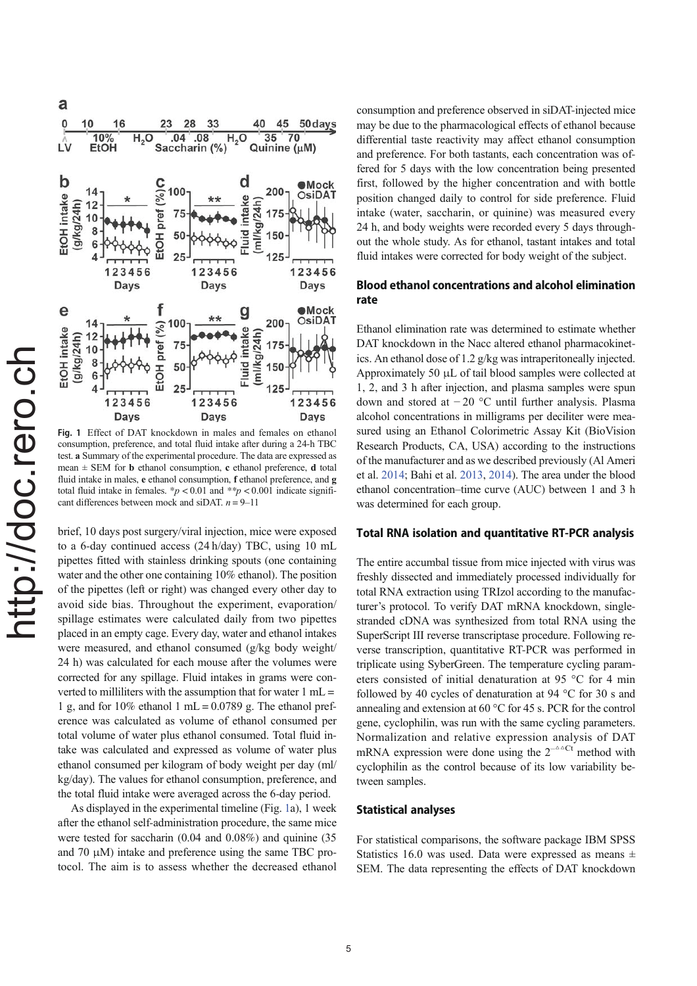

Fig. 1 Effect of DAT knockdown in males and females on ethanol consumption, preference, and total fluid intake after during a 24-h TBC test. a Summary of the experimental procedure. The data are expressed as mean  $\pm$  SEM for **b** ethanol consumption, **c** ethanol preference, **d** total fluid intake in males, e ethanol consumption, f ethanol preference, and g total fluid intake in females. \*p < 0.01 and \*\*p < 0.001 indicate significant differences between mock and siDAT.  $n = 9-11$ 

brief, 10 days post surgery/viral injection, mice were exposed to a 6-day continued access (24 h/day) TBC, using 10 mL pipettes fitted with stainless drinking spouts (one containing water and the other one containing 10% ethanol). The position of the pipettes (left or right) was changed every other day to avoid side bias. Throughout the experiment, evaporation/ spillage estimates were calculated daily from two pipettes placed in an empty cage. Every day, water and ethanol intakes were measured, and ethanol consumed (g/kg body weight/ 24 h) was calculated for each mouse after the volumes were corrected for any spillage. Fluid intakes in grams were converted to milliliters with the assumption that for water  $1 \text{ mL} =$ 1 g, and for  $10\%$  ethanol 1 mL = 0.0789 g. The ethanol preference was calculated as volume of ethanol consumed per total volume of water plus ethanol consumed. Total fluid intake was calculated and expressed as volume of water plus ethanol consumed per kilogram of body weight per day (ml/ kg/day). The values for ethanol consumption, preference, and the total fluid intake were averaged across the 6-day period.

As displayed in the experimental timeline (Fig. 1a), 1 week after the ethanol self-administration procedure, the same mice were tested for saccharin (0.04 and 0.08%) and quinine (35 and 70 μM) intake and preference using the same TBC protocol. The aim is to assess whether the decreased ethanol

consumption and preference observed in siDAT-injected mice may be due to the pharmacological effects of ethanol because differential taste reactivity may affect ethanol consumption and preference. For both tastants, each concentration was offered for 5 days with the low concentration being presented first, followed by the higher concentration and with bottle position changed daily to control for side preference. Fluid intake (water, saccharin, or quinine) was measured every 24 h, and body weights were recorded every 5 days throughout the whole study. As for ethanol, tastant intakes and total fluid intakes were corrected for body weight of the subject.

## Blood ethanol concentrations and alcohol elimination rate

Ethanol elimination rate was determined to estimate whether DAT knockdown in the Nacc altered ethanol pharmacokinetics. An ethanol dose of 1.2 g/kg was intraperitoneally injected. Approximately 50 μL of tail blood samples were collected at 1, 2, and 3 h after injection, and plasma samples were spun down and stored at − 20 °C until further analysis. Plasma alcohol concentrations in milligrams per deciliter were measured using an Ethanol Colorimetric Assay Kit (BioVision Research Products, CA, USA) according to the instructions of the manufacturer and as we described previously (Al Ameri et al. 2014; Bahi et al. 2013, 2014). The area under the blood ethanol concentration–time curve (AUC) between 1 and 3 h was determined for each group.

## Total RNA isolation and quantitative RT-PCR analysis

The entire accumbal tissue from mice injected with virus was freshly dissected and immediately processed individually for total RNA extraction using TRIzol according to the manufacturer's protocol. To verify DAT mRNA knockdown, singlestranded cDNA was synthesized from total RNA using the SuperScript III reverse transcriptase procedure. Following reverse transcription, quantitative RT-PCR was performed in triplicate using SyberGreen. The temperature cycling parameters consisted of initial denaturation at 95 °C for 4 min followed by 40 cycles of denaturation at 94 °C for 30 s and annealing and extension at 60 °C for 45 s. PCR for the control gene, cyclophilin, was run with the same cycling parameters. Normalization and relative expression analysis of DAT mRNA expression were done using the  $2^{-\Delta C t}$  method with cyclophilin as the control because of its low variability between samples.

#### Statistical analyses

For statistical comparisons, the software package IBM SPSS Statistics 16.0 was used. Data were expressed as means  $\pm$ SEM. The data representing the effects of DAT knockdown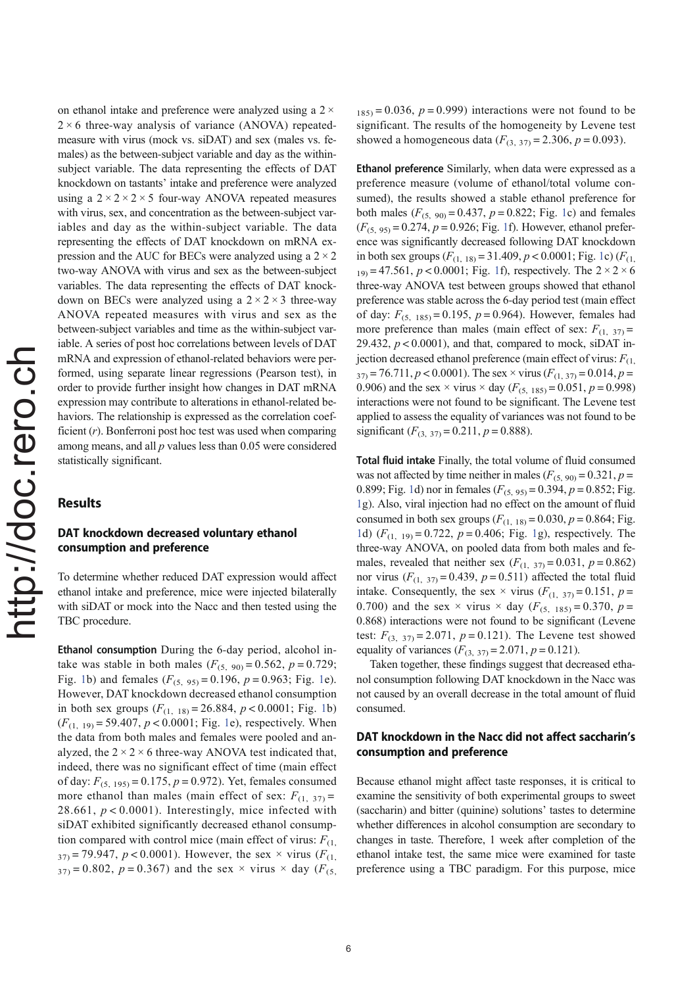on ethanol intake and preference were analyzed using a  $2 \times$  $2 \times 6$  three-way analysis of variance (ANOVA) repeatedmeasure with virus (mock vs. siDAT) and sex (males vs. females) as the between-subject variable and day as the withinsubject variable. The data representing the effects of DAT knockdown on tastants' intake and preference were analyzed using a  $2 \times 2 \times 2 \times 5$  four-way ANOVA repeated measures with virus, sex, and concentration as the between-subject variables and day as the within-subject variable. The data representing the effects of DAT knockdown on mRNA expression and the AUC for BECs were analyzed using a  $2 \times 2$ two-way ANOVA with virus and sex as the between-subject variables. The data representing the effects of DAT knockdown on BECs were analyzed using a  $2 \times 2 \times 3$  three-way ANOVA repeated measures with virus and sex as the between-subject variables and time as the within-subject variable. A series of post hoc correlations between levels of DAT mRNA and expression of ethanol-related behaviors were performed, using separate linear regressions (Pearson test), in order to provide further insight how changes in DAT mRNA expression may contribute to alterations in ethanol-related behaviors. The relationship is expressed as the correlation coefficient  $(r)$ . Bonferroni post hoc test was used when comparing among means, and all  $p$  values less than 0.05 were considered statistically significant.

## Results

## DAT knockdown decreased voluntary ethanol consumption and preference

To determine whether reduced DAT expression would affect ethanol intake and preference, mice were injected bilaterally with siDAT or mock into the Nacc and then tested using the TBC procedure.

Ethanol consumption During the 6-day period, alcohol intake was stable in both males ( $F_{(5, 90)} = 0.562$ ,  $p = 0.729$ ; Fig. 1b) and females  $(F_{(5, 95)} = 0.196, p = 0.963;$  Fig. 1e). However, DAT knockdown decreased ethanol consumption in both sex groups  $(F_{(1, 18)} = 26.884, p < 0.0001$ ; Fig. 1b)  $(F_{(1, 19)} = 59.407, p < 0.0001$ ; Fig. 1e), respectively. When the data from both males and females were pooled and analyzed, the  $2 \times 2 \times 6$  three-way ANOVA test indicated that, indeed, there was no significant effect of time (main effect of day:  $F_{(5, 195)} = 0.175$ ,  $p = 0.972$ ). Yet, females consumed more ethanol than males (main effect of sex:  $F_{(1, 37)} =$ 28.661,  $p < 0.0001$ ). Interestingly, mice infected with siDAT exhibited significantly decreased ethanol consumption compared with control mice (main effect of virus:  $F_{(1)}$ ,  $37$ ) = 79.947, p < 0.0001). However, the sex  $\times$  virus ( $F_{(1)}$ )  $37$ ) = 0.802, p = 0.367) and the sex  $\times$  virus  $\times$  day (F<sub>(5,</sub>

 $185$  = 0.036,  $p = 0.999$ ) interactions were not found to be significant. The results of the homogeneity by Levene test showed a homogeneous data  $(F_{(3, 37)} = 2.306, p = 0.093)$ .

Ethanol preference Similarly, when data were expressed as a preference measure (volume of ethanol/total volume consumed), the results showed a stable ethanol preference for both males  $(F_{(5, 90)} = 0.437, p = 0.822; Fig. 1c)$  and females  $(F_{(5, 95)} = 0.274, p = 0.926;$  Fig. 1f). However, ethanol preference was significantly decreased following DAT knockdown in both sex groups  $(F_{(1, 18)} = 31.409, p < 0.0001;$  Fig. 1c)  $(F_{(1, 18)} = 31.409, p < 0.0001;$  $19$  = 47.561,  $p < 0.0001$ ; Fig. 1f), respectively. The  $2 \times 2 \times 6$ three-way ANOVA test between groups showed that ethanol preference was stable across the 6-day period test (main effect of day:  $F_{(5, 185)} = 0.195$ ,  $p = 0.964$ ). However, females had more preference than males (main effect of sex:  $F_{(1, 37)} =$ 29.432,  $p < 0.0001$ ), and that, compared to mock, siDAT injection decreased ethanol preference (main effect of virus:  $F_{(1)}$ ,  $37$  = 76.711, p < 0.0001). The sex  $\times$  virus ( $F_{(1, 37)} = 0.014$ , p = 0.906) and the sex  $\times$  virus  $\times$  day ( $F_{(5, 185)} = 0.051$ ,  $p = 0.998$ ) interactions were not found to be significant. The Levene test applied to assess the equality of variances was not found to be significant  $(F_{(3, 37)} = 0.211, p = 0.888)$ .

Total fluid intake Finally, the total volume of fluid consumed was not affected by time neither in males ( $F_{(5, 90)} = 0.321$ ,  $p =$ 0.899; Fig. 1d) nor in females  $(F_{(5, 95)} = 0.394, p = 0.852;$  Fig. 1g). Also, viral injection had no effect on the amount of fluid consumed in both sex groups  $(F_{(1, 18)} = 0.030, p = 0.864;$  Fig. 1d)  $(F_{(1, 19)} = 0.722, p = 0.406; Fig. 1g)$ , respectively. The three-way ANOVA, on pooled data from both males and females, revealed that neither sex  $(F_{(1, 37)} = 0.031, p = 0.862)$ nor virus  $(F_{(1, 37)} = 0.439, p = 0.511)$  affected the total fluid intake. Consequently, the sex  $\times$  virus ( $F_{(1, 37)} = 0.151$ ,  $p =$ 0.700) and the sex  $\times$  virus  $\times$  day ( $F_{(5, 185)} = 0.370$ , p = 0.868) interactions were not found to be significant (Levene test:  $F_{(3, 37)} = 2.071$ ,  $p = 0.121$ ). The Levene test showed equality of variances  $(F_{(3, 37)} = 2.071, p = 0.121)$ .

Taken together, these findings suggest that decreased ethanol consumption following DAT knockdown in the Nacc was not caused by an overall decrease in the total amount of fluid consumed.

# DAT knockdown in the Nacc did not affect saccharin's consumption and preference

Because ethanol might affect taste responses, it is critical to examine the sensitivity of both experimental groups to sweet (saccharin) and bitter (quinine) solutions' tastes to determine whether differences in alcohol consumption are secondary to changes in taste. Therefore, 1 week after completion of the ethanol intake test, the same mice were examined for taste preference using a TBC paradigm. For this purpose, mice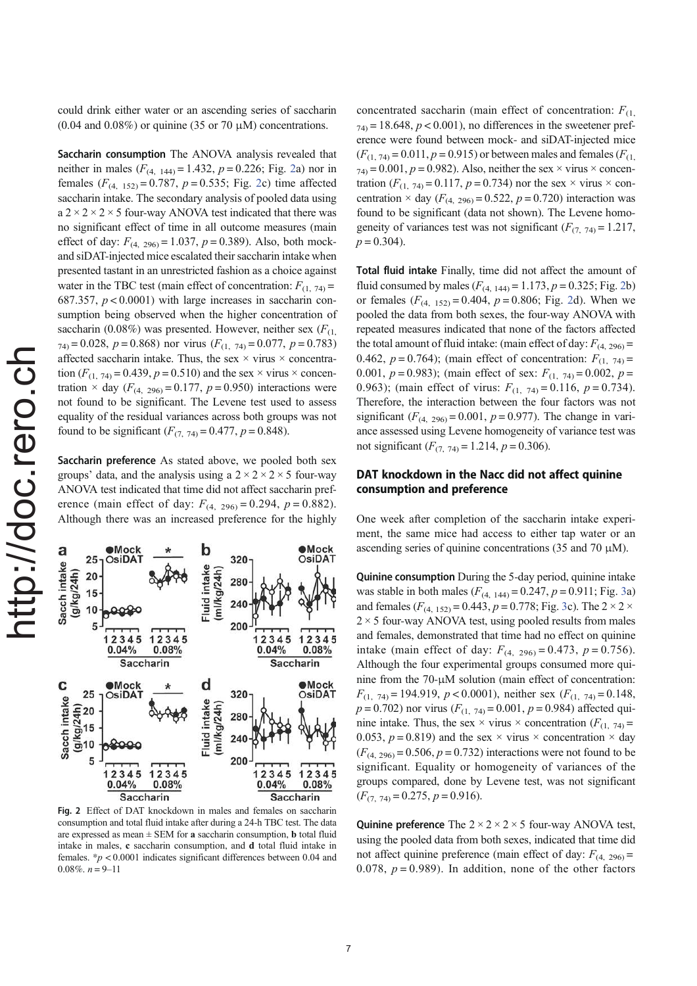could drink either water or an ascending series of saccharin  $(0.04$  and  $0.08\%)$  or quinine  $(35 \text{ or } 70 \text{ µM})$  concentrations.

Saccharin consumption The ANOVA analysis revealed that neither in males  $(F_{(4, 144)} = 1.432, p = 0.226;$  Fig. 2a) nor in females  $(F_{(4, 152)} = 0.787, p = 0.535; Fig. 2c)$  time affected saccharin intake. The secondary analysis of pooled data using  $a 2 \times 2 \times 2 \times 5$  four-way ANOVA test indicated that there was no significant effect of time in all outcome measures (main effect of day:  $F_{(4, 296)} = 1.037$ ,  $p = 0.389$ ). Also, both mockand siDAT-injected mice escalated their saccharin intake when presented tastant in an unrestricted fashion as a choice against water in the TBC test (main effect of concentration:  $F_{(1, 74)} =$ 687.357,  $p < 0.0001$ ) with large increases in saccharin consumption being observed when the higher concentration of saccharin (0.08%) was presented. However, neither sex  $(F<sub>(1)</sub>)$  $74$ <sub>1</sub> = 0.028, p = 0.868) nor virus  $(F_{(1, 74)} = 0.077, p = 0.783)$ affected saccharin intake. Thus, the sex  $\times$  virus  $\times$  concentration  $(F_{(1, 74)} = 0.439, p = 0.510)$  and the sex  $\times$  virus  $\times$  concentration  $\times$  day ( $F_{(4, 296)} = 0.177$ ,  $p = 0.950$ ) interactions were not found to be significant. The Levene test used to assess equality of the residual variances across both groups was not found to be significant  $(F_{(7, 74)} = 0.477, p = 0.848)$ .

Saccharin preference As stated above, we pooled both sex groups' data, and the analysis using a  $2 \times 2 \times 2 \times 5$  four-way ANOVA test indicated that time did not affect saccharin preference (main effect of day:  $F_{(4, 296)} = 0.294$ ,  $p = 0.882$ ). Although there was an increased preference for the highly



Fig. 2 Effect of DAT knockdown in males and females on saccharin consumption and total fluid intake after during a 24-h TBC test. The data are expressed as mean  $\pm$  SEM for a saccharin consumption, **b** total fluid intake in males, c saccharin consumption, and d total fluid intake in females.  $\frac{k}{p}$  < 0.0001 indicates significant differences between 0.04 and 0.08%.  $n = 9-11$ 

concentrated saccharin (main effect of concentration:  $F_{(1)}$ )  $74$ ) = 18.648,  $p < 0.001$ ), no differences in the sweetener preference were found between mock- and siDAT-injected mice  $(F_{(1, 74)} = 0.011, p = 0.915)$  or between males and females  $(F_{(1, 74)} = 0.011, p = 0.915)$  $_{74}$  = 0.001,  $p = 0.982$ ). Also, neither the sex  $\times$  virus  $\times$  concentration  $(F_{(1, 74)} = 0.117, p = 0.734)$  nor the sex  $\times$  virus  $\times$  concentration  $\times$  day ( $F_{(4, 296)} = 0.522$ ,  $p = 0.720$ ) interaction was found to be significant (data not shown). The Levene homogeneity of variances test was not significant  $(F_{(7, 74)} = 1.217$ ,  $p = 0.304$ ).

Total fluid intake Finally, time did not affect the amount of fluid consumed by males ( $F_{(4, 144)} = 1.173$ ,  $p = 0.325$ ; Fig. 2b) or females  $(F_{(4, 152)} = 0.404, p = 0.806;$  Fig. 2d). When we pooled the data from both sexes, the four-way ANOVA with repeated measures indicated that none of the factors affected the total amount of fluid intake: (main effect of day:  $F_{(4, 296)} =$ 0.462,  $p = 0.764$ ; (main effect of concentration:  $F_{(1, 74)} =$ 0.001,  $p = 0.983$ ); (main effect of sex:  $F_{(1, 74)} = 0.002$ ,  $p =$ 0.963); (main effect of virus:  $F_{(1, 74)} = 0.116$ ,  $p = 0.734$ ). Therefore, the interaction between the four factors was not significant  $(F_{(4, 296)} = 0.001, p = 0.977)$ . The change in variance assessed using Levene homogeneity of variance test was not significant  $(F_{(7, 74)} = 1.214, p = 0.306)$ .

# DAT knockdown in the Nacc did not affect quinine consumption and preference

One week after completion of the saccharin intake experiment, the same mice had access to either tap water or an ascending series of quinine concentrations (35 and 70 μM).

Quinine consumption During the 5-day period, quinine intake was stable in both males  $(F_{(4, 144)} = 0.247, p = 0.911; Fig. 3a)$ and females ( $F_{(4, 152)} = 0.443$ ,  $p = 0.778$ ; Fig. 3c). The 2 × 2 ×  $2 \times 5$  four-way ANOVA test, using pooled results from males and females, demonstrated that time had no effect on quinine intake (main effect of day:  $F_{(4, 296)} = 0.473$ ,  $p = 0.756$ ). Although the four experimental groups consumed more quinine from the 70-μM solution (main effect of concentration:  $F_{(1, 74)} = 194.919$ ,  $p < 0.0001$ ), neither sex  $(F_{(1, 74)} = 0.148$ ,  $p = 0.702$ ) nor virus  $(F_{(1, 74)} = 0.001, p = 0.984)$  affected quinine intake. Thus, the sex  $\times$  virus  $\times$  concentration ( $F_{(1, 74)}$  = 0.053,  $p = 0.819$  and the sex  $\times$  virus  $\times$  concentration  $\times$  day  $(F_{(4, 296)} = 0.506, p = 0.732)$  interactions were not found to be significant. Equality or homogeneity of variances of the groups compared, done by Levene test, was not significant  $(F_{(7, 74)} = 0.275, p = 0.916).$ 

**Quinine preference** The  $2 \times 2 \times 2 \times 5$  four-way ANOVA test, using the pooled data from both sexes, indicated that time did not affect quinine preference (main effect of day:  $F_{(4, 296)} =$ 0.078,  $p = 0.989$ ). In addition, none of the other factors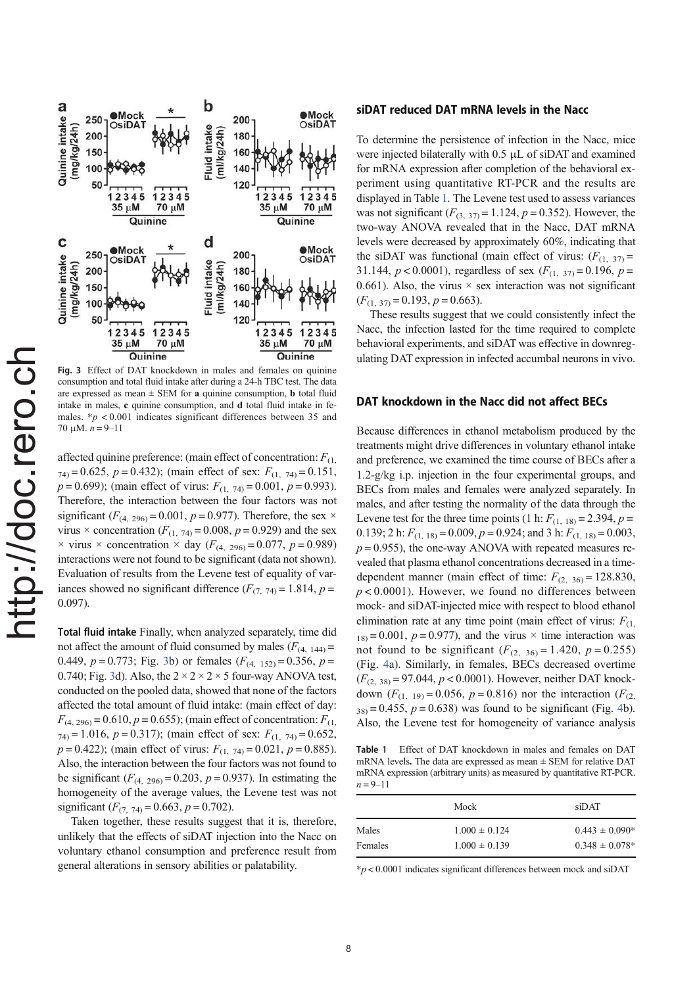



Fig. 3 Effect of DAT knockdown in males and females on quinine consumption and total fluid intake after during a 24-h TBC test. The data are expressed as mean  $\pm$  SEM for **a** quinine consumption, **b** total fluid intake in males, c quinine consumption, and d total fluid intake in females.  $* p < 0.001$  indicates significant differences between 35 and 70 μM.  $n = 9-11$ 

affected quinine preference: (main effect of concentration:  $F_{(1)}$  $7_{(74)} = 0.625$ ,  $p = 0.432$ ); (main effect of sex:  $F_{(1, 74)} = 0.151$ ,  $p = 0.699$ ); (main effect of virus:  $F_{(1, 74)} = 0.001$ ,  $p = 0.993$ ). Therefore, the interaction between the four factors was not significant  $(F_{(4, 296)} = 0.001, p = 0.977)$ . Therefore, the sex  $\times$ virus  $\times$  concentration ( $F_{(1, 74)} = 0.008$ ,  $p = 0.929$ ) and the sex  $\times$  virus  $\times$  concentration  $\times$  day ( $F_{(4, 296)} = 0.077$ ,  $p = 0.989$ ) interactions were not found to be significant (data not shown). Evaluation of results from the Levene test of equality of variances showed no significant difference  $(F_{(7, 74)} = 1.814, p =$ 0.097).

Total fluid intake Finally, when analyzed separately, time did not affect the amount of fluid consumed by males  $(F_{(4, 144)} =$ 0.449,  $p = 0.773$ ; Fig. 3b) or females  $(F_{(4, 152)} = 0.356, p = 0.449)$ 0.740; Fig. 3d). Also, the  $2 \times 2 \times 2 \times 5$  four-way ANOVA test, conducted on the pooled data, showed that none of the factors affected the total amount of fluid intake: (main effect of day:  $F_{(4, 296)} = 0.610, p = 0.655$ ; (main effect of concentration:  $F_{(1, 16)}$  $7_{(74)} = 1.016$ ,  $p = 0.317$ ); (main effect of sex:  $F_{(1, 74)} = 0.652$ ,  $p = 0.422$ ); (main effect of virus:  $F_{(1, 74)} = 0.021$ ,  $p = 0.885$ ). Also, the interaction between the four factors was not found to be significant  $(F_{(4, 296)} = 0.203, p = 0.937)$ . In estimating the homogeneity of the average values, the Levene test was not significant  $(F_{(7, 74)} = 0.663, p = 0.702)$ .

Taken together, these results suggest that it is, therefore, unlikely that the effects of siDAT injection into the Nacc on voluntary ethanol consumption and preference result from general alterations in sensory abilities or palatability.

### siDAT reduced DAT mRNA levels in the Nacc

To determine the persistence of infection in the Nacc, mice were injected bilaterally with 0.5 μL of siDAT and examined for mRNA expression after completion of the behavioral experiment using quantitative RT-PCR and the results are displayed in Table 1. The Levene test used to assess variances was not significant  $(F_{(3, 37)} = 1.124, p = 0.352)$ . However, the two-way ANOVA revealed that in the Nacc, DAT mRNA levels were decreased by approximately 60%, indicating that the siDAT was functional (main effect of virus:  $(F_{(1, 37)} =$ 31.144,  $p < 0.0001$ ), regardless of sex  $(F_{(1, 37)} = 0.196, p =$ 0.661). Also, the virus  $\times$  sex interaction was not significant  $(F_{(1, 37)} = 0.193, p = 0.663).$ 

These results suggest that we could consistently infect the Nacc, the infection lasted for the time required to complete behavioral experiments, and siDAT was effective in downregulating DAT expression in infected accumbal neurons in vivo.

#### DAT knockdown in the Nacc did not affect BECs

Because differences in ethanol metabolism produced by the treatments might drive differences in voluntary ethanol intake and preference, we examined the time course of BECs after a 1.2-g/kg i.p. injection in the four experimental groups, and BECs from males and females were analyzed separately. In males, and after testing the normality of the data through the Levene test for the three time points (1 h:  $F_{(1, 18)} = 2.394$ ,  $p =$ 0.139; 2 h:  $F_{(1, 18)} = 0.009$ ,  $p = 0.924$ ; and 3 h:  $F_{(1, 18)} = 0.003$ ,  $p = 0.955$ ), the one-way ANOVA with repeated measures revealed that plasma ethanol concentrations decreased in a timedependent manner (main effect of time:  $F_{(2, 36)} = 128.830$ ,  $p < 0.0001$ ). However, we found no differences between mock- and siDAT-injected mice with respect to blood ethanol elimination rate at any time point (main effect of virus:  $F_{(1)}$ )  $18$  = 0.001,  $p = 0.977$ , and the virus  $\times$  time interaction was not found to be significant  $(F_{(2, 36)} = 1.420, p = 0.255)$ (Fig. 4a). Similarly, in females, BECs decreased overtime  $(F_{(2, 38)} = 97.044, p < 0.0001)$ . However, neither DAT knockdown  $(F_{(1, 19)} = 0.056, p = 0.816)$  nor the interaction  $(F_{(2, 19)})$  $38$ ) = 0.455, p = 0.638) was found to be significant (Fig. 4b). Also, the Levene test for homogeneity of variance analysis

Table 1 Effect of DAT knockdown in males and females on DAT mRNA levels. The data are expressed as mean ± SEM for relative DAT mRNA expression (arbitrary units) as measured by quantitative RT-PCR.  $n = 9 - 11$ 

|         | Mock              | siDAT               |
|---------|-------------------|---------------------|
| Males   | $1.000 \pm 0.124$ | $0.443 \pm 0.090^*$ |
| Females | $1.000 \pm 0.139$ | $0.348 \pm 0.078^*$ |

 $*p$  < 0.0001 indicates significant differences between mock and siDAT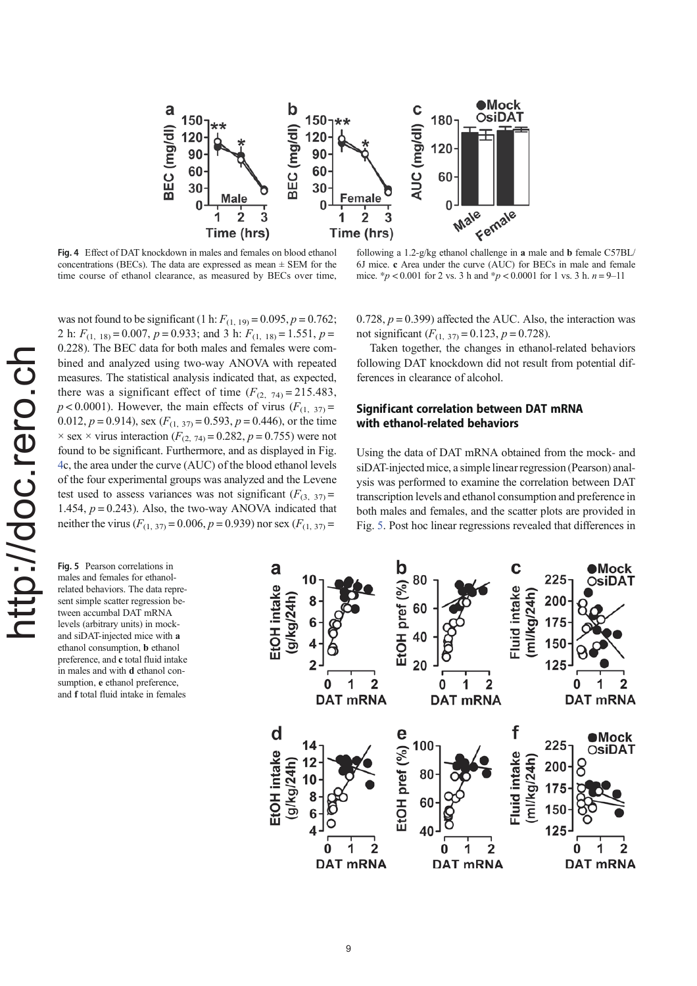

Fig. 4 Effect of DAT knockdown in males and females on blood ethanol concentrations (BECs). The data are expressed as mean  $\pm$  SEM for the time course of ethanol clearance, as measured by BECs over time,

following a 1.2-g/kg ethanol challenge in a male and b female C57BL/ 6J mice. c Area under the curve (AUC) for BECs in male and female mice. \*p < 0.001 for 2 vs. 3 h and \*p < 0.0001 for 1 vs. 3 h.  $n = 9-11$ 

was not found to be significant (1 h:  $F_{(1, 19)} = 0.095$ ,  $p = 0.762$ ; 2 h:  $F_{(1, 18)} = 0.007$ ,  $p = 0.933$ ; and 3 h:  $F_{(1, 18)} = 1.551$ ,  $p =$ 0.228). The BEC data for both males and females were combined and analyzed using two-way ANOVA with repeated measures. The statistical analysis indicated that, as expected, there was a significant effect of time  $(F_{(2, 74)} = 215.483)$ ,  $p < 0.0001$ ). However, the main effects of virus  $(F_{(1, 37)} =$ 0.012,  $p = 0.914$ ), sex  $(F_{(1, 37)} = 0.593, p = 0.446)$ , or the time  $\times$  sex  $\times$  virus interaction ( $F_{(2, 74)} = 0.282$ ,  $p = 0.755$ ) were not found to be significant. Furthermore, and as displayed in Fig. 4c, the area under the curve (AUC) of the blood ethanol levels of the four experimental groups was analyzed and the Levene test used to assess variances was not significant  $(F_{(3, 37)} =$ 1.454,  $p = 0.243$ ). Also, the two-way ANOVA indicated that neither the virus ( $F_{(1, 37)} = 0.006$ ,  $p = 0.939$ ) nor sex ( $F_{(1, 37)} =$ 

0.728,  $p = 0.399$ ) affected the AUC. Also, the interaction was not significant  $(F_{(1, 37)} = 0.123, p = 0.728)$ .

Taken together, the changes in ethanol-related behaviors following DAT knockdown did not result from potential differences in clearance of alcohol.

# Significant correlation between DAT mRNA with ethanol-related behaviors

Using the data of DAT mRNA obtained from the mock- and siDAT-injected mice, a simple linear regression (Pearson) analysis was performed to examine the correlation between DAT transcription levels and ethanol consumption and preference in both males and females, and the scatter plots are provided in Fig. 5. Post hoc linear regressions revealed that differences in

Fig. 5 Pearson correlations in males and females for ethanolrelated behaviors. The data represent simple scatter regression between accumbal DAT mRNA levels (arbitrary units) in mockand siDAT-injected mice with a ethanol consumption, b ethanol preference, and c total fluid intake in males and with d ethanol consumption, e ethanol preference, and f total fluid intake in females

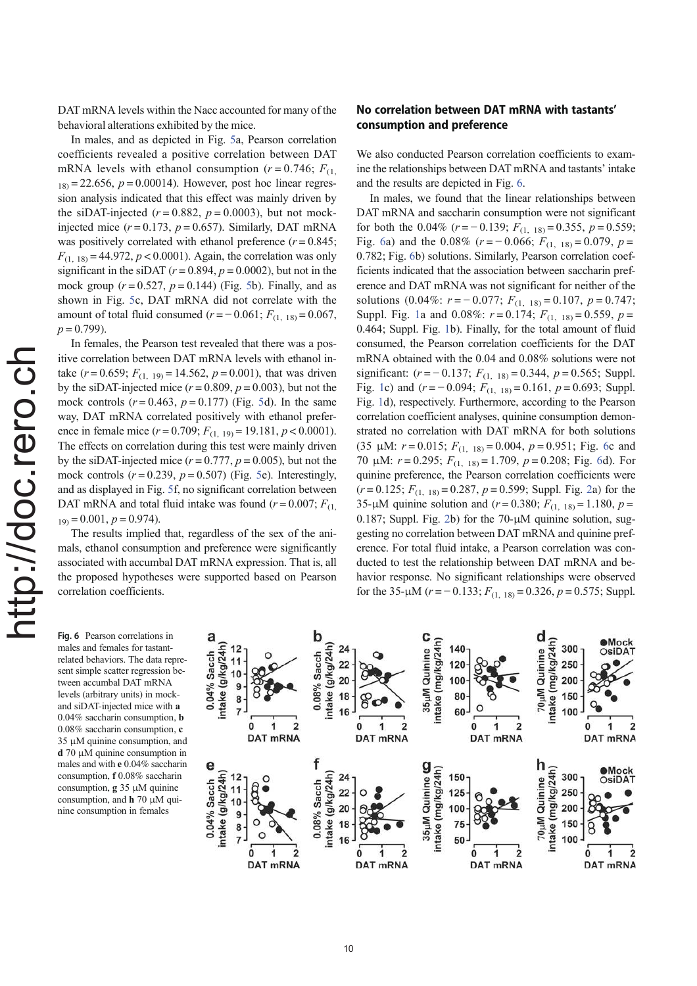DAT mRNA levels within the Nacc accounted for many of the behavioral alterations exhibited by the mice.

In males, and as depicted in Fig. 5a, Pearson correlation coefficients revealed a positive correlation between DAT mRNA levels with ethanol consumption ( $r = 0.746$ ;  $F_{(1)}$ )  $18$  = 22.656,  $p = 0.00014$ ). However, post hoc linear regression analysis indicated that this effect was mainly driven by the siDAT-injected ( $r = 0.882$ ,  $p = 0.0003$ ), but not mockinjected mice  $(r = 0.173, p = 0.657)$ . Similarly, DAT mRNA was positively correlated with ethanol preference  $(r = 0.845)$ ;  $F_{(1, 18)} = 44.972, p < 0.0001$ . Again, the correlation was only significant in the siDAT ( $r = 0.894$ ,  $p = 0.0002$ ), but not in the mock group  $(r = 0.527, p = 0.144)$  (Fig. 5b). Finally, and as shown in Fig. 5c, DAT mRNA did not correlate with the amount of total fluid consumed ( $r = -0.061$ ;  $F_{(1, 18)} = 0.067$ ,  $p = 0.799$ ).

In females, the Pearson test revealed that there was a positive correlation between DAT mRNA levels with ethanol intake ( $r = 0.659$ ;  $F_{(1, 19)} = 14.562$ ,  $p = 0.001$ ), that was driven by the siDAT-injected mice  $(r = 0.809, p = 0.003)$ , but not the mock controls  $(r = 0.463, p = 0.177)$  (Fig. 5d). In the same way, DAT mRNA correlated positively with ethanol preference in female mice ( $r = 0.709$ ;  $F_{(1, 19)} = 19.181$ ,  $p < 0.0001$ ). The effects on correlation during this test were mainly driven by the siDAT-injected mice  $(r = 0.777, p = 0.005)$ , but not the mock controls  $(r = 0.239, p = 0.507)$  (Fig. 5e). Interestingly, and as displayed in Fig. 5f, no significant correlation between DAT mRNA and total fluid intake was found ( $r = 0.007$ ;  $F_{(1)}$  $_{19} = 0.001, p = 0.974.$ 

The results implied that, regardless of the sex of the animals, ethanol consumption and preference were significantly associated with accumbal DAT mRNA expression. That is, all the proposed hypotheses were supported based on Pearson correlation coefficients.

## No correlation between DAT mRNA with tastants' consumption and preference

We also conducted Pearson correlation coefficients to examine the relationships between DAT mRNA and tastants' intake and the results are depicted in Fig. 6.

In males, we found that the linear relationships between DAT mRNA and saccharin consumption were not significant for both the 0.04% ( $r = -0.139$ ;  $F_{(1, 18)} = 0.355$ ,  $p = 0.559$ ; Fig. 6a) and the 0.08% ( $r = -0.066$ ;  $F_{(1, 18)} = 0.079$ ,  $p =$ 0.782; Fig. 6b) solutions. Similarly, Pearson correlation coefficients indicated that the association between saccharin preference and DAT mRNA was not significant for neither of the solutions (0.04%:  $r = -0.077$ ;  $F_{(1, 18)} = 0.107$ ,  $p = 0.747$ ; Suppl. Fig. 1a and 0.08%:  $r = 0.174$ ;  $F_{(1, 18)} = 0.559$ ,  $p =$ 0.464; Suppl. Fig. 1b). Finally, for the total amount of fluid consumed, the Pearson correlation coefficients for the DAT mRNA obtained with the 0.04 and 0.08% solutions were not significant:  $(r = -0.137; F_{(1, 18)} = 0.344, p = 0.565;$  Suppl. Fig. 1c) and ( $r = -0.094$ ;  $F_{(1, 18)} = 0.161$ ,  $p = 0.693$ ; Suppl. Fig. 1d), respectively. Furthermore, according to the Pearson correlation coefficient analyses, quinine consumption demonstrated no correlation with DAT mRNA for both solutions (35 μM:  $r = 0.015$ ;  $F_{(1, 18)} = 0.004$ ,  $p = 0.951$ ; Fig. 6c and 70 μM:  $r = 0.295$ ;  $F_{(1, 18)} = 1.709$ ,  $p = 0.208$ ; Fig. 6d). For quinine preference, the Pearson correlation coefficients were  $(r = 0.125; F<sub>(1, 18)</sub> = 0.287, p = 0.599; Suppl. Fig. 2a) for the$ 35-μM quinine solution and ( $r = 0.380$ ;  $F_{(1, 18)} = 1.180$ ,  $p =$ 0.187; Suppl. Fig. 2b) for the  $70-\mu M$  quinine solution, suggesting no correlation between DAT mRNA and quinine preference. For total fluid intake, a Pearson correlation was conducted to test the relationship between DAT mRNA and behavior response. No significant relationships were observed for the 35- $\mu$ M ( $r = -0.133$ ;  $F_{(1, 18)} = 0.326$ ,  $p = 0.575$ ; Suppl.

Fig. 6 Pearson correlations in males and females for tastantrelated behaviors. The data represent simple scatter regression between accumbal DAT mRNA levels (arbitrary units) in mockand siDAT-injected mice with a 0.04% saccharin consumption, b 0.08% saccharin consumption, c 35 μM quinine consumption, and d 70 μM quinine consumption in males and with e 0.04% saccharin consumption, f 0.08% saccharin consumption,  $g$  35  $\mu$ M quinine consumption, and h 70 μM quinine consumption in females

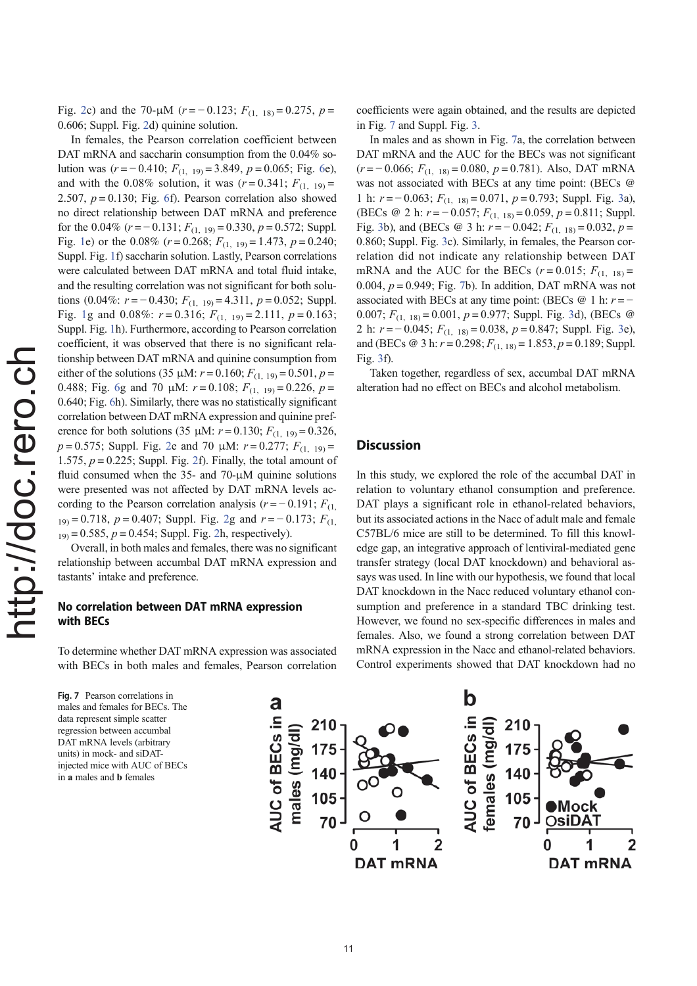Fig. 2c) and the 70-µM ( $r = -0.123$ ;  $F_{(1, 18)} = 0.275$ ,  $p =$ 0.606; Suppl. Fig. 2d) quinine solution.

In females, the Pearson correlation coefficient between DAT mRNA and saccharin consumption from the 0.04% solution was  $(r = -0.410; F<sub>(1, 19)</sub> = 3.849, p = 0.065; Fig. 6e)$ , and with the 0.08% solution, it was  $(r = 0.341; F_{(1, 19)} =$ 2.507,  $p = 0.130$ ; Fig. 6f). Pearson correlation also showed no direct relationship between DAT mRNA and preference for the 0.04%  $(r = -0.131; F<sub>(1, 19)</sub> = 0.330, p = 0.572; Suppl.$ Fig. 1e) or the 0.08% ( $r = 0.268$ ;  $F_{(1, 19)} = 1.473$ ,  $p = 0.240$ ; Suppl. Fig. 1f) saccharin solution. Lastly, Pearson correlations were calculated between DAT mRNA and total fluid intake, and the resulting correlation was not significant for both solutions (0.04%:  $r = -0.430$ ;  $F_{(1, 19)} = 4.311$ ,  $p = 0.052$ ; Suppl. Fig. 1g and 0.08%:  $r = 0.316$ ;  $F_{(1, 19)} = 2.111$ ,  $p = 0.163$ ; Suppl. Fig. 1h). Furthermore, according to Pearson correlation coefficient, it was observed that there is no significant relationship between DAT mRNA and quinine consumption from either of the solutions (35 μM:  $r = 0.160$ ;  $F_{(1, 19)} = 0.501$ ,  $p =$ 0.488; Fig. 6g and 70  $\mu$ M:  $r = 0.108$ ;  $F_{(1, 19)} = 0.226$ ,  $p =$ 0.640; Fig. 6h). Similarly, there was no statistically significant correlation between DAT mRNA expression and quinine preference for both solutions (35 μM:  $r = 0.130$ ;  $F_{(1, 19)} = 0.326$ ,  $p = 0.575$ ; Suppl. Fig. 2e and 70  $\mu$ M:  $r = 0.277$ ;  $F_{(1, 19)} =$ 1.575,  $p = 0.225$ ; Suppl. Fig. 2f). Finally, the total amount of fluid consumed when the 35- and 70-μM quinine solutions were presented was not affected by DAT mRNA levels according to the Pearson correlation analysis ( $r = -0.191$ ;  $F_{(1)}$  $19$ ) = 0.718, p = 0.407; Suppl. Fig. 2g and r = -0.173;  $F_{(1)}$  $19$  = 0.585,  $p = 0.454$ ; Suppl. Fig. 2h, respectively).

Overall, in both males and females, there was no significant relationship between accumbal DAT mRNA expression and tastants' intake and preference.

## No correlation between DAT mRNA expression with BECs

To determine whether DAT mRNA expression was associated with BECs in both males and females, Pearson correlation

Fig. 7 Pearson correlations in males and females for BECs. The data represent simple scatter regression between accumbal DAT mRNA levels (arbitrary units) in mock- and siDATinjected mice with AUC of BECs in a males and b females

coefficients were again obtained, and the results are depicted in Fig. 7 and Suppl. Fig. 3.

In males and as shown in Fig. 7a, the correlation between DAT mRNA and the AUC for the BECs was not significant  $(r = -0.066; F<sub>(1, 18)</sub> = 0.080, p = 0.781)$ . Also, DAT mRNA was not associated with BECs at any time point: (BECs @ 1 h:  $r = -0.063$ ;  $F_{(1, 18)} = 0.071$ ,  $p = 0.793$ ; Suppl. Fig. 3a), (BECs  $\omega$  2 h:  $r = -0.057$ ;  $F_{(1, 18)} = 0.059$ ,  $p = 0.811$ ; Suppl. Fig. 3b), and (BECs @ 3 h:  $r = -0.042$ ;  $F_{(1, 18)} = 0.032$ ,  $p =$ 0.860; Suppl. Fig. 3c). Similarly, in females, the Pearson correlation did not indicate any relationship between DAT mRNA and the AUC for the BECs ( $r = 0.015$ ;  $F_{(1, 18)} =$ 0.004,  $p = 0.949$ ; Fig. 7b). In addition, DAT mRNA was not associated with BECs at any time point: (BECs  $@$  1 h:  $r = -$ 0.007;  $F_{(1, 18)} = 0.001$ ,  $p = 0.977$ ; Suppl. Fig. 3d), (BECs @ 2 h:  $r = -0.045$ ;  $F_{(1, 18)} = 0.038$ ,  $p = 0.847$ ; Suppl. Fig. 3e), and (BECs  $\omega$  3 h:  $r = 0.298$ ;  $F_{(1, 18)} = 1.853$ ,  $p = 0.189$ ; Suppl. Fig. 3f).

Taken together, regardless of sex, accumbal DAT mRNA alteration had no effect on BECs and alcohol metabolism.

## **Discussion**

In this study, we explored the role of the accumbal DAT in relation to voluntary ethanol consumption and preference. DAT plays a significant role in ethanol-related behaviors, but its associated actions in the Nacc of adult male and female C57BL/6 mice are still to be determined. To fill this knowledge gap, an integrative approach of lentiviral-mediated gene transfer strategy (local DAT knockdown) and behavioral assays was used. In line with our hypothesis, we found that local DAT knockdown in the Nacc reduced voluntary ethanol consumption and preference in a standard TBC drinking test. However, we found no sex-specific differences in males and females. Also, we found a strong correlation between DAT mRNA expression in the Nacc and ethanol-related behaviors. Control experiments showed that DAT knockdown had no

b a **UC of BECs in** 210 210 emales (mg/dl males (mg/dl) UC of BECs i 140 105 105 70 OsiD 70 1  $\overline{2}$  $\overline{2}$ 0 1 **DAT mRNA DAT mRNA**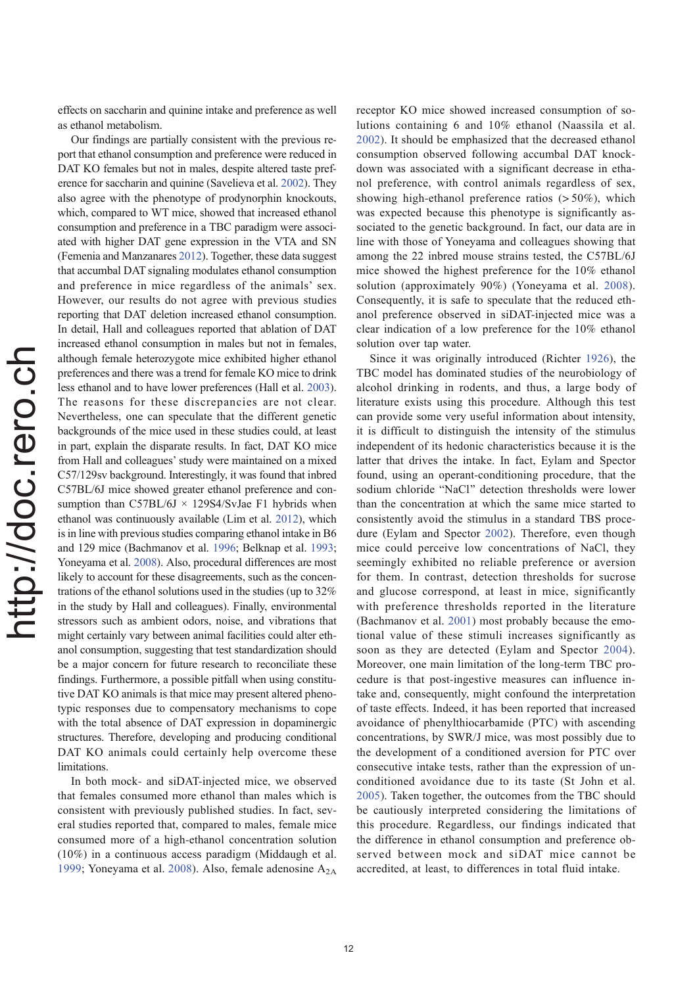effects on saccharin and quinine intake and preference as well as ethanol metabolism.

Our findings are partially consistent with the previous report that ethanol consumption and preference were reduced in DAT KO females but not in males, despite altered taste preference for saccharin and quinine (Savelieva et al. 2002). They also agree with the phenotype of prodynorphin knockouts, which, compared to WT mice, showed that increased ethanol consumption and preference in a TBC paradigm were associated with higher DAT gene expression in the VTA and SN (Femenia and Manzanares 2012). Together, these data suggest that accumbal DAT signaling modulates ethanol consumption and preference in mice regardless of the animals' sex. However, our results do not agree with previous studies reporting that DAT deletion increased ethanol consumption. In detail, Hall and colleagues reported that ablation of DAT increased ethanol consumption in males but not in females, although female heterozygote mice exhibited higher ethanol preferences and there was a trend for female KO mice to drink less ethanol and to have lower preferences (Hall et al. 2003). The reasons for these discrepancies are not clear. Nevertheless, one can speculate that the different genetic backgrounds of the mice used in these studies could, at least in part, explain the disparate results. In fact, DAT KO mice from Hall and colleagues' study were maintained on a mixed C57/129sv background. Interestingly, it was found that inbred C57BL/6J mice showed greater ethanol preference and consumption than  $C57BL/6J \times 129S4/SvJae F1$  hybrids when ethanol was continuously available (Lim et al. 2012), which is in line with previous studies comparing ethanol intake in B6 and 129 mice (Bachmanov et al. 1996; Belknap et al. 1993; Yoneyama et al. 2008). Also, procedural differences are most likely to account for these disagreements, such as the concentrations of the ethanol solutions used in the studies (up to 32% in the study by Hall and colleagues). Finally, environmental stressors such as ambient odors, noise, and vibrations that might certainly vary between animal facilities could alter ethanol consumption, suggesting that test standardization should be a major concern for future research to reconciliate these findings. Furthermore, a possible pitfall when using constitutive DAT KO animals is that mice may present altered phenotypic responses due to compensatory mechanisms to cope with the total absence of DAT expression in dopaminergic structures. Therefore, developing and producing conditional DAT KO animals could certainly help overcome these limitations.

In both mock- and siDAT-injected mice, we observed that females consumed more ethanol than males which is consistent with previously published studies. In fact, several studies reported that, compared to males, female mice consumed more of a high-ethanol concentration solution (10%) in a continuous access paradigm (Middaugh et al. 1999; Yoneyama et al. 2008). Also, female adenosine  $A_{2A}$ 

receptor KO mice showed increased consumption of solutions containing 6 and 10% ethanol (Naassila et al. 2002). It should be emphasized that the decreased ethanol consumption observed following accumbal DAT knockdown was associated with a significant decrease in ethanol preference, with control animals regardless of sex, showing high-ethanol preference ratios (> 50%), which was expected because this phenotype is significantly associated to the genetic background. In fact, our data are in line with those of Yoneyama and colleagues showing that among the 22 inbred mouse strains tested, the C57BL/6J mice showed the highest preference for the 10% ethanol solution (approximately 90%) (Yoneyama et al. 2008). Consequently, it is safe to speculate that the reduced ethanol preference observed in siDAT-injected mice was a clear indication of a low preference for the 10% ethanol solution over tap water.

Since it was originally introduced (Richter 1926), the TBC model has dominated studies of the neurobiology of alcohol drinking in rodents, and thus, a large body of literature exists using this procedure. Although this test can provide some very useful information about intensity, it is difficult to distinguish the intensity of the stimulus independent of its hedonic characteristics because it is the latter that drives the intake. In fact, Eylam and Spector found, using an operant-conditioning procedure, that the sodium chloride "NaCl" detection thresholds were lower than the concentration at which the same mice started to consistently avoid the stimulus in a standard TBS procedure (Eylam and Spector 2002). Therefore, even though mice could perceive low concentrations of NaCl, they seemingly exhibited no reliable preference or aversion for them. In contrast, detection thresholds for sucrose and glucose correspond, at least in mice, significantly with preference thresholds reported in the literature (Bachmanov et al. 2001) most probably because the emotional value of these stimuli increases significantly as soon as they are detected (Eylam and Spector 2004). Moreover, one main limitation of the long-term TBC procedure is that post-ingestive measures can influence intake and, consequently, might confound the interpretation of taste effects. Indeed, it has been reported that increased avoidance of phenylthiocarbamide (PTC) with ascending concentrations, by SWR/J mice, was most possibly due to the development of a conditioned aversion for PTC over consecutive intake tests, rather than the expression of unconditioned avoidance due to its taste (St John et al. 2005). Taken together, the outcomes from the TBC should be cautiously interpreted considering the limitations of this procedure. Regardless, our findings indicated that the difference in ethanol consumption and preference observed between mock and siDAT mice cannot be accredited, at least, to differences in total fluid intake.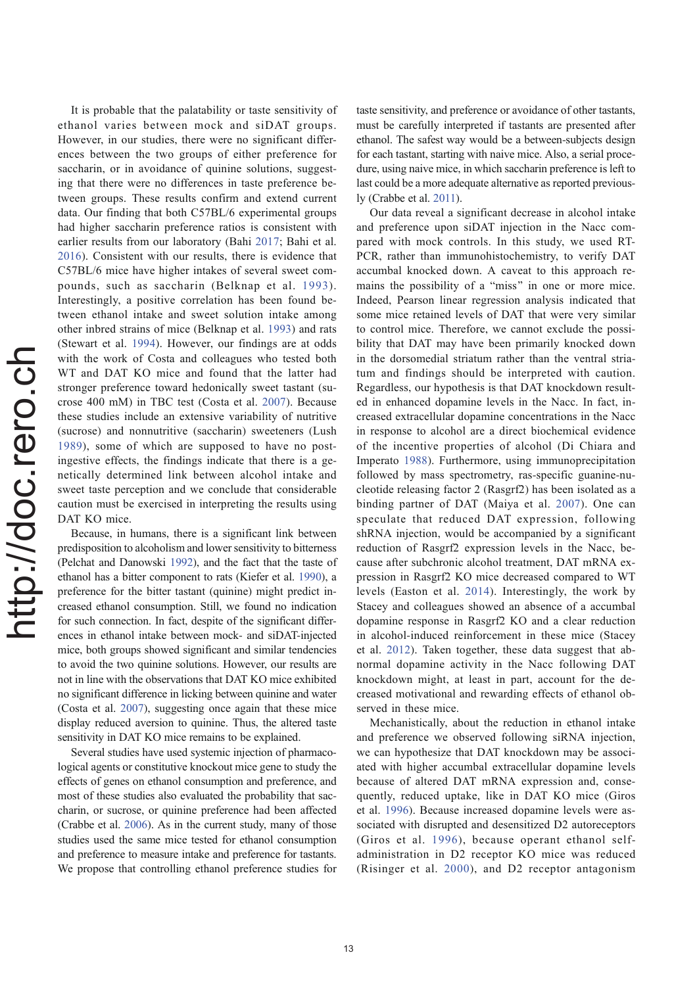It is probable that the palatability or taste sensitivity of ethanol varies between mock and siDAT groups. However, in our studies, there were no significant differences between the two groups of either preference for saccharin, or in avoidance of quinine solutions, suggesting that there were no differences in taste preference between groups. These results confirm and extend current data. Our finding that both C57BL/6 experimental groups had higher saccharin preference ratios is consistent with earlier results from our laboratory (Bahi 2017; Bahi et al. 2016). Consistent with our results, there is evidence that C57BL/6 mice have higher intakes of several sweet compounds, such as saccharin (Belknap et al. 1993). Interestingly, a positive correlation has been found between ethanol intake and sweet solution intake among other inbred strains of mice (Belknap et al. 1993) and rats (Stewart et al. 1994). However, our findings are at odds with the work of Costa and colleagues who tested both WT and DAT KO mice and found that the latter had stronger preference toward hedonically sweet tastant (sucrose 400 mM) in TBC test (Costa et al. 2007). Because these studies include an extensive variability of nutritive (sucrose) and nonnutritive (saccharin) sweeteners (Lush 1989), some of which are supposed to have no postingestive effects, the findings indicate that there is a genetically determined link between alcohol intake and sweet taste perception and we conclude that considerable caution must be exercised in interpreting the results using DAT KO mice.

Because, in humans, there is a significant link between predisposition to alcoholism and lower sensitivity to bitterness (Pelchat and Danowski 1992), and the fact that the taste of ethanol has a bitter component to rats (Kiefer et al. 1990), a preference for the bitter tastant (quinine) might predict increased ethanol consumption. Still, we found no indication for such connection. In fact, despite of the significant differences in ethanol intake between mock- and siDAT-injected mice, both groups showed significant and similar tendencies to avoid the two quinine solutions. However, our results are not in line with the observations that DAT KO mice exhibited no significant difference in licking between quinine and water (Costa et al. 2007), suggesting once again that these mice display reduced aversion to quinine. Thus, the altered taste sensitivity in DAT KO mice remains to be explained.

Several studies have used systemic injection of pharmacological agents or constitutive knockout mice gene to study the effects of genes on ethanol consumption and preference, and most of these studies also evaluated the probability that saccharin, or sucrose, or quinine preference had been affected (Crabbe et al. 2006). As in the current study, many of those studies used the same mice tested for ethanol consumption and preference to measure intake and preference for tastants. We propose that controlling ethanol preference studies for taste sensitivity, and preference or avoidance of other tastants, must be carefully interpreted if tastants are presented after ethanol. The safest way would be a between-subjects design for each tastant, starting with naive mice. Also, a serial procedure, using naive mice, in which saccharin preference is left to last could be a more adequate alternative as reported previously (Crabbe et al. 2011).

Our data reveal a significant decrease in alcohol intake and preference upon siDAT injection in the Nacc compared with mock controls. In this study, we used RT-PCR, rather than immunohistochemistry, to verify DAT accumbal knocked down. A caveat to this approach remains the possibility of a "miss" in one or more mice. Indeed, Pearson linear regression analysis indicated that some mice retained levels of DAT that were very similar to control mice. Therefore, we cannot exclude the possibility that DAT may have been primarily knocked down in the dorsomedial striatum rather than the ventral striatum and findings should be interpreted with caution. Regardless, our hypothesis is that DAT knockdown resulted in enhanced dopamine levels in the Nacc. In fact, increased extracellular dopamine concentrations in the Nacc in response to alcohol are a direct biochemical evidence of the incentive properties of alcohol (Di Chiara and Imperato 1988). Furthermore, using immunoprecipitation followed by mass spectrometry, ras-specific guanine-nucleotide releasing factor 2 (Rasgrf2) has been isolated as a binding partner of DAT (Maiya et al. 2007). One can speculate that reduced DAT expression, following shRNA injection, would be accompanied by a significant reduction of Rasgrf2 expression levels in the Nacc, because after subchronic alcohol treatment, DAT mRNA expression in Rasgrf2 KO mice decreased compared to WT levels (Easton et al. 2014). Interestingly, the work by Stacey and colleagues showed an absence of a accumbal dopamine response in Rasgrf2 KO and a clear reduction in alcohol-induced reinforcement in these mice (Stacey et al. 2012). Taken together, these data suggest that abnormal dopamine activity in the Nacc following DAT knockdown might, at least in part, account for the decreased motivational and rewarding effects of ethanol observed in these mice.

Mechanistically, about the reduction in ethanol intake and preference we observed following siRNA injection, we can hypothesize that DAT knockdown may be associated with higher accumbal extracellular dopamine levels because of altered DAT mRNA expression and, consequently, reduced uptake, like in DAT KO mice (Giros et al. 1996). Because increased dopamine levels were associated with disrupted and desensitized D2 autoreceptors (Giros et al. 1996), because operant ethanol selfadministration in D2 receptor KO mice was reduced (Risinger et al. 2000), and D2 receptor antagonism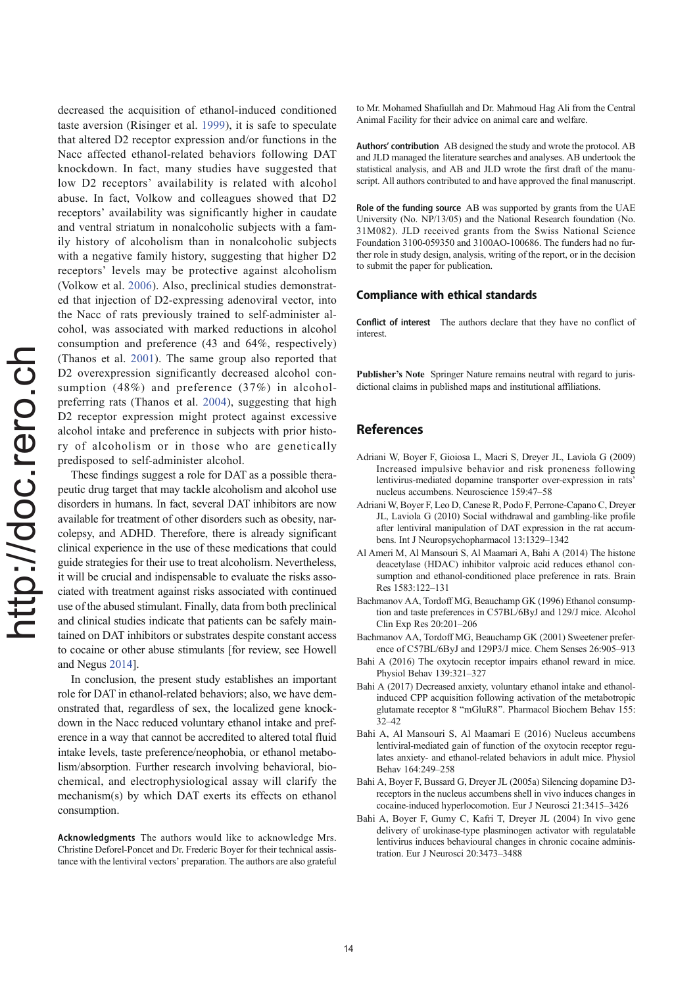decreased the acquisition of ethanol-induced conditioned taste aversion (Risinger et al. 1999), it is safe to speculate that altered D2 receptor expression and/or functions in the Nacc affected ethanol-related behaviors following DAT knockdown. In fact, many studies have suggested that low D2 receptors' availability is related with alcohol abuse. In fact, Volkow and colleagues showed that D2 receptors' availability was significantly higher in caudate and ventral striatum in nonalcoholic subjects with a family history of alcoholism than in nonalcoholic subjects with a negative family history, suggesting that higher D2 receptors' levels may be protective against alcoholism (Volkow et al. 2006). Also, preclinical studies demonstrated that injection of D2-expressing adenoviral vector, into the Nacc of rats previously trained to self-administer alcohol, was associated with marked reductions in alcohol consumption and preference (43 and 64%, respectively) (Thanos et al. 2001). The same group also reported that D2 overexpression significantly decreased alcohol consumption (48%) and preference (37%) in alcoholpreferring rats (Thanos et al. 2004), suggesting that high D2 receptor expression might protect against excessive alcohol intake and preference in subjects with prior history of alcoholism or in those who are genetically predisposed to self-administer alcohol.

These findings suggest a role for DAT as a possible therapeutic drug target that may tackle alcoholism and alcohol use disorders in humans. In fact, several DAT inhibitors are now available for treatment of other disorders such as obesity, narcolepsy, and ADHD. Therefore, there is already significant clinical experience in the use of these medications that could guide strategies for their use to treat alcoholism. Nevertheless, it will be crucial and indispensable to evaluate the risks associated with treatment against risks associated with continued use of the abused stimulant. Finally, data from both preclinical and clinical studies indicate that patients can be safely maintained on DAT inhibitors or substrates despite constant access to cocaine or other abuse stimulants [for review, see Howell and Negus 2014].

In conclusion, the present study establishes an important role for DAT in ethanol-related behaviors; also, we have demonstrated that, regardless of sex, the localized gene knockdown in the Nacc reduced voluntary ethanol intake and preference in a way that cannot be accredited to altered total fluid intake levels, taste preference/neophobia, or ethanol metabolism/absorption. Further research involving behavioral, biochemical, and electrophysiological assay will clarify the mechanism(s) by which DAT exerts its effects on ethanol consumption.

Acknowledgments The authors would like to acknowledge Mrs. Christine Deforel-Poncet and Dr. Frederic Boyer for their technical assistance with the lentiviral vectors' preparation. The authors are also grateful to Mr. Mohamed Shafiullah and Dr. Mahmoud Hag Ali from the Central Animal Facility for their advice on animal care and welfare.

Authors' contribution AB designed the study and wrote the protocol. AB and JLD managed the literature searches and analyses. AB undertook the statistical analysis, and AB and JLD wrote the first draft of the manuscript. All authors contributed to and have approved the final manuscript.

Role of the funding source AB was supported by grants from the UAE University (No. NP/13/05) and the National Research foundation (No. 31M082). JLD received grants from the Swiss National Science Foundation 3100-059350 and 3100AO-100686. The funders had no further role in study design, analysis, writing of the report, or in the decision to submit the paper for publication.

#### Compliance with ethical standards

Conflict of interest The authors declare that they have no conflict of interest.

Publisher's Note Springer Nature remains neutral with regard to jurisdictional claims in published maps and institutional affiliations.

## References

- Adriani W, Boyer F, Gioiosa L, Macri S, Dreyer JL, Laviola G (2009) Increased impulsive behavior and risk proneness following lentivirus-mediated dopamine transporter over-expression in rats' nucleus accumbens. Neuroscience 159:47–58
- Adriani W, Boyer F, Leo D, Canese R, Podo F, Perrone-Capano C, Dreyer JL, Laviola G (2010) Social withdrawal and gambling-like profile after lentiviral manipulation of DAT expression in the rat accumbens. Int J Neuropsychopharmacol 13:1329–1342
- Al Ameri M, Al Mansouri S, Al Maamari A, Bahi A (2014) The histone deacetylase (HDAC) inhibitor valproic acid reduces ethanol consumption and ethanol-conditioned place preference in rats. Brain Res 1583:122–131
- Bachmanov AA, Tordoff MG, Beauchamp GK (1996) Ethanol consumption and taste preferences in C57BL/6ByJ and 129/J mice. Alcohol Clin Exp Res 20:201–206
- Bachmanov AA, Tordoff MG, Beauchamp GK (2001) Sweetener preference of C57BL/6ByJ and 129P3/J mice. Chem Senses 26:905–913
- Bahi A (2016) The oxytocin receptor impairs ethanol reward in mice. Physiol Behav 139:321–327
- Bahi A (2017) Decreased anxiety, voluntary ethanol intake and ethanolinduced CPP acquisition following activation of the metabotropic glutamate receptor 8 "mGluR8". Pharmacol Biochem Behav 155: 32–42
- Bahi A, Al Mansouri S, Al Maamari E (2016) Nucleus accumbens lentiviral-mediated gain of function of the oxytocin receptor regulates anxiety- and ethanol-related behaviors in adult mice. Physiol Behav 164:249–258
- Bahi A, Boyer F, Bussard G, Dreyer JL (2005a) Silencing dopamine D3 receptors in the nucleus accumbens shell in vivo induces changes in cocaine-induced hyperlocomotion. Eur J Neurosci 21:3415–3426
- Bahi A, Boyer F, Gumy C, Kafri T, Dreyer JL (2004) In vivo gene delivery of urokinase-type plasminogen activator with regulatable lentivirus induces behavioural changes in chronic cocaine administration. Eur J Neurosci 20:3473–3488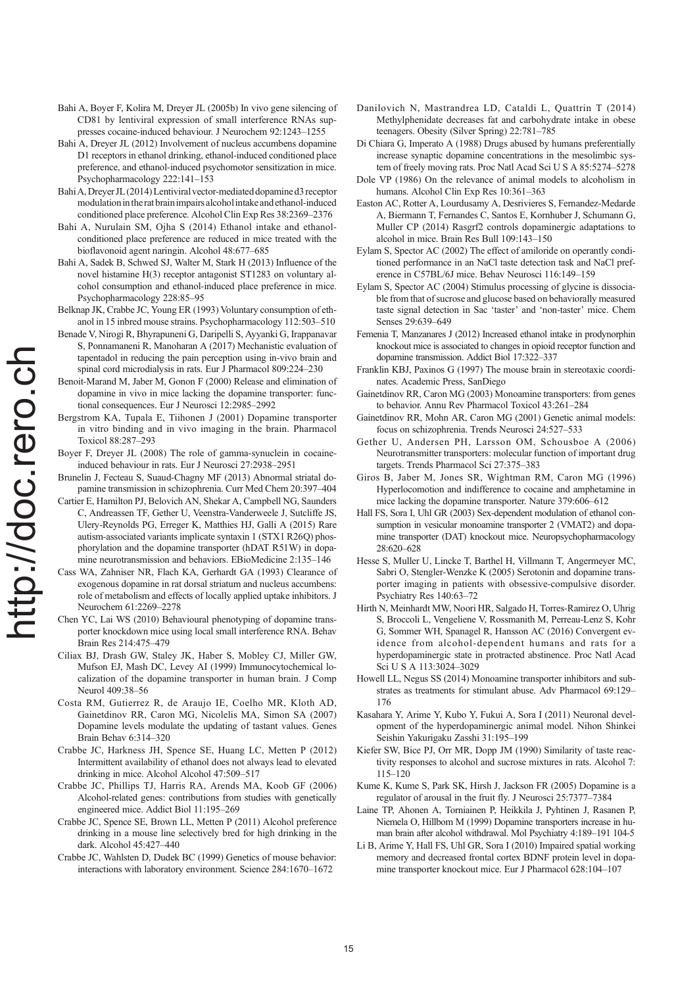- Bahi A, Boyer F, Kolira M, Dreyer JL (2005b) In vivo gene silencing of CD81 by lentiviral expression of small interference RNAs suppresses cocaine-induced behaviour. J Neurochem 92:1243–1255
- Bahi A, Dreyer JL (2012) Involvement of nucleus accumbens dopamine D1 receptors in ethanol drinking, ethanol-induced conditioned place preference, and ethanol-induced psychomotor sensitization in mice. Psychopharmacology 222:141–153
- BahiA, Dreyer JL (2014) Lentiviral vector-mediated dopamine d3 receptor modulationinthe rat brainimpairs alcoholintake and ethanol-induced conditioned place preference. Alcohol Clin Exp Res 38:2369–2376
- Bahi A, Nurulain SM, Ojha S (2014) Ethanol intake and ethanolconditioned place preference are reduced in mice treated with the bioflavonoid agent naringin. Alcohol 48:677–685
- Bahi A, Sadek B, Schwed SJ, Walter M, Stark H (2013) Influence of the novel histamine H(3) receptor antagonist ST1283 on voluntary alcohol consumption and ethanol-induced place preference in mice. Psychopharmacology 228:85–95
- Belknap JK, Crabbe JC, Young ER (1993) Voluntary consumption of ethanol in 15 inbred mouse strains. Psychopharmacology 112:503–510
- Benade V, Nirogi R, Bhyrapuneni G, Daripelli S, Ayyanki G, Irappanavar S, Ponnamaneni R, Manoharan A (2017) Mechanistic evaluation of tapentadol in reducing the pain perception using in-vivo brain and spinal cord microdialysis in rats. Eur J Pharmacol 809:224–230
- Benoit-Marand M, Jaber M, Gonon F (2000) Release and elimination of dopamine in vivo in mice lacking the dopamine transporter: functional consequences. Eur J Neurosci 12:2985–2992
- Bergstrom KA, Tupala E, Tiihonen J (2001) Dopamine transporter in vitro binding and in vivo imaging in the brain. Pharmacol Toxicol 88:287–293
- Boyer F, Dreyer JL (2008) The role of gamma-synuclein in cocaineinduced behaviour in rats. Eur J Neurosci 27:2938–2951
- Brunelin J, Fecteau S, Suaud-Chagny MF (2013) Abnormal striatal dopamine transmission in schizophrenia. Curr Med Chem 20:397–404
- Cartier E, Hamilton PJ, Belovich AN, Shekar A, Campbell NG, Saunders C, Andreassen TF, Gether U, Veenstra-Vanderweele J, Sutcliffe JS, Ulery-Reynolds PG, Erreger K, Matthies HJ, Galli A (2015) Rare autism-associated variants implicate syntaxin 1 (STX1 R26Q) phosphorylation and the dopamine transporter (hDAT R51W) in dopamine neurotransmission and behaviors. EBioMedicine 2:135–146
- Cass WA, Zahniser NR, Flach KA, Gerhardt GA (1993) Clearance of exogenous dopamine in rat dorsal striatum and nucleus accumbens: role of metabolism and effects of locally applied uptake inhibitors. J Neurochem 61:2269–2278
- Chen YC, Lai WS (2010) Behavioural phenotyping of dopamine transporter knockdown mice using local small interference RNA. Behav Brain Res 214:475–479
- Ciliax BJ, Drash GW, Staley JK, Haber S, Mobley CJ, Miller GW, Mufson EJ, Mash DC, Levey AI (1999) Immunocytochemical localization of the dopamine transporter in human brain. J Comp Neurol 409:38–56
- Costa RM, Gutierrez R, de Araujo IE, Coelho MR, Kloth AD, Gainetdinov RR, Caron MG, Nicolelis MA, Simon SA (2007) Dopamine levels modulate the updating of tastant values. Genes Brain Behav 6:314–320
- Crabbe JC, Harkness JH, Spence SE, Huang LC, Metten P (2012) Intermittent availability of ethanol does not always lead to elevated drinking in mice. Alcohol Alcohol 47:509–517
- Crabbe JC, Phillips TJ, Harris RA, Arends MA, Koob GF (2006) Alcohol-related genes: contributions from studies with genetically engineered mice. Addict Biol 11:195–269
- Crabbe JC, Spence SE, Brown LL, Metten P (2011) Alcohol preference drinking in a mouse line selectively bred for high drinking in the dark. Alcohol 45:427–440
- Crabbe JC, Wahlsten D, Dudek BC (1999) Genetics of mouse behavior: interactions with laboratory environment. Science 284:1670–1672
- Danilovich N, Mastrandrea LD, Cataldi L, Quattrin T (2014) Methylphenidate decreases fat and carbohydrate intake in obese teenagers. Obesity (Silver Spring) 22:781–785
- Di Chiara G, Imperato A (1988) Drugs abused by humans preferentially increase synaptic dopamine concentrations in the mesolimbic system of freely moving rats. Proc Natl Acad Sci U S A 85:5274–5278
- Dole VP (1986) On the relevance of animal models to alcoholism in humans. Alcohol Clin Exp Res 10:361–363
- Easton AC, Rotter A, Lourdusamy A, Desrivieres S, Fernandez-Medarde A, Biermann T, Fernandes C, Santos E, Kornhuber J, Schumann G, Muller CP (2014) Rasgrf2 controls dopaminergic adaptations to alcohol in mice. Brain Res Bull 109:143–150
- Eylam S, Spector AC (2002) The effect of amiloride on operantly conditioned performance in an NaCl taste detection task and NaCl preference in C57BL/6J mice. Behav Neurosci 116:149–159
- Eylam S, Spector AC (2004) Stimulus processing of glycine is dissociable from that of sucrose and glucose based on behaviorally measured taste signal detection in Sac 'taster' and 'non-taster' mice. Chem Senses 29:639–649
- Femenia T, Manzanares J (2012) Increased ethanol intake in prodynorphin knockout mice is associated to changes in opioid receptor function and dopamine transmission. Addict Biol 17:322–337
- Franklin KBJ, Paxinos G (1997) The mouse brain in stereotaxic coordinates. Academic Press, SanDiego
- Gainetdinov RR, Caron MG (2003) Monoamine transporters: from genes to behavior. Annu Rev Pharmacol Toxicol 43:261–284
- Gainetdinov RR, Mohn AR, Caron MG (2001) Genetic animal models: focus on schizophrenia. Trends Neurosci 24:527–533
- Gether U, Andersen PH, Larsson OM, Schousboe A (2006) Neurotransmitter transporters: molecular function of important drug targets. Trends Pharmacol Sci 27:375–383
- Giros B, Jaber M, Jones SR, Wightman RM, Caron MG (1996) Hyperlocomotion and indifference to cocaine and amphetamine in mice lacking the dopamine transporter. Nature 379:606–612
- Hall FS, Sora I, Uhl GR (2003) Sex-dependent modulation of ethanol consumption in vesicular monoamine transporter 2 (VMAT2) and dopamine transporter (DAT) knockout mice. Neuropsychopharmacology 28:620–628
- Hesse S, Muller U, Lincke T, Barthel H, Villmann T, Angermeyer MC, Sabri O, Stengler-Wenzke K (2005) Serotonin and dopamine transporter imaging in patients with obsessive-compulsive disorder. Psychiatry Res 140:63–72
- Hirth N, Meinhardt MW, Noori HR, Salgado H, Torres-Ramirez O, Uhrig S, Broccoli L, Vengeliene V, Rossmanith M, Perreau-Lenz S, Kohr G, Sommer WH, Spanagel R, Hansson AC (2016) Convergent evidence from alcohol-dependent humans and rats for a hyperdopaminergic state in protracted abstinence. Proc Natl Acad Sci U S A 113:3024–3029
- Howell LL, Negus SS (2014) Monoamine transporter inhibitors and substrates as treatments for stimulant abuse. Adv Pharmacol 69:129– 176
- Kasahara Y, Arime Y, Kubo Y, Fukui A, Sora I (2011) Neuronal development of the hyperdopaminergic animal model. Nihon Shinkei Seishin Yakurigaku Zasshi 31:195–199
- Kiefer SW, Bice PJ, Orr MR, Dopp JM (1990) Similarity of taste reactivity responses to alcohol and sucrose mixtures in rats. Alcohol 7: 115–120
- Kume K, Kume S, Park SK, Hirsh J, Jackson FR (2005) Dopamine is a regulator of arousal in the fruit fly. J Neurosci 25:7377–7384
- Laine TP, Ahonen A, Torniainen P, Heikkila J, Pyhtinen J, Rasanen P, Niemela O, Hillbom M (1999) Dopamine transporters increase in human brain after alcohol withdrawal. Mol Psychiatry 4:189–191 104-5
- Li B, Arime Y, Hall FS, Uhl GR, Sora I (2010) Impaired spatial working memory and decreased frontal cortex BDNF protein level in dopamine transporter knockout mice. Eur J Pharmacol 628:104–107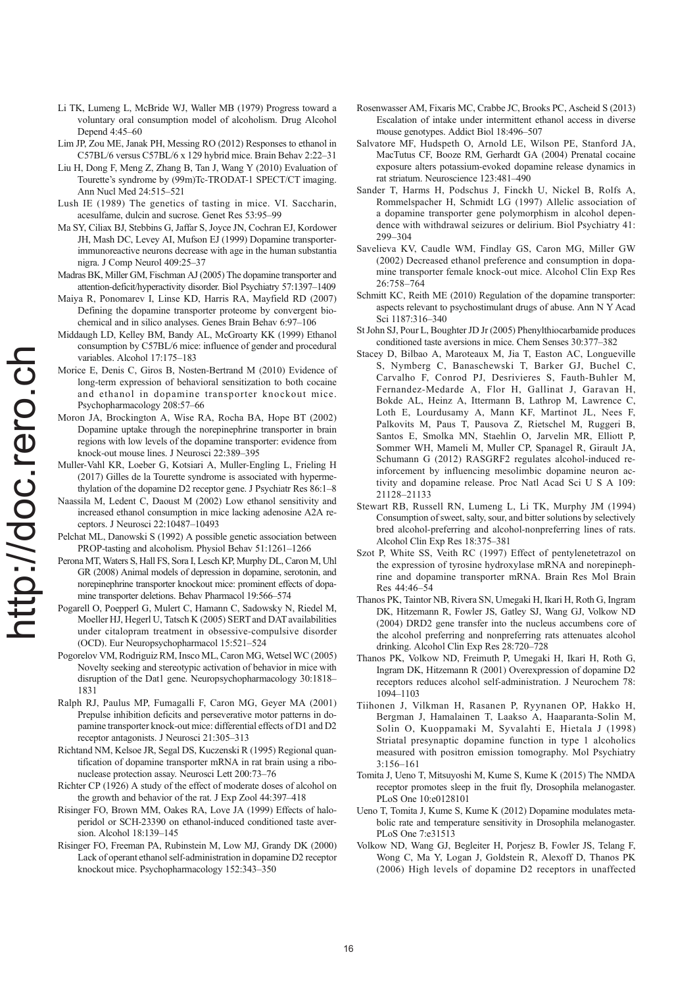- Li TK, Lumeng L, McBride WJ, Waller MB (1979) Progress toward a voluntary oral consumption model of alcoholism. Drug Alcohol Depend 4:45–60
- Lim JP, Zou ME, Janak PH, Messing RO (2012) Responses to ethanol in C57BL/6 versus C57BL/6 x 129 hybrid mice. Brain Behav 2:22–31
- Liu H, Dong F, Meng Z, Zhang B, Tan J, Wang Y (2010) Evaluation of Tourette's syndrome by (99m)Tc-TRODAT-1 SPECT/CT imaging. Ann Nucl Med 24:515–521
- Lush IE (1989) The genetics of tasting in mice. VI. Saccharin, acesulfame, dulcin and sucrose. Genet Res 53:95–99
- Ma SY, Ciliax BJ, Stebbins G, Jaffar S, Joyce JN, Cochran EJ, Kordower JH, Mash DC, Levey AI, Mufson EJ (1999) Dopamine transporterimmunoreactive neurons decrease with age in the human substantia nigra. J Comp Neurol 409:25–37
- Madras BK, Miller GM, Fischman AJ (2005) The dopamine transporter and attention-deficit/hyperactivity disorder. Biol Psychiatry 57:1397–1409
- Maiya R, Ponomarev I, Linse KD, Harris RA, Mayfield RD (2007) Defining the dopamine transporter proteome by convergent biochemical and in silico analyses. Genes Brain Behav 6:97–106
- Middaugh LD, Kelley BM, Bandy AL, McGroarty KK (1999) Ethanol consumption by C57BL/6 mice: influence of gender and procedural variables. Alcohol 17:175–183
- Morice E, Denis C, Giros B, Nosten-Bertrand M (2010) Evidence of long-term expression of behavioral sensitization to both cocaine and ethanol in dopamine transporter knockout mice. Psychopharmacology 208:57–66
- Moron JA, Brockington A, Wise RA, Rocha BA, Hope BT (2002) Dopamine uptake through the norepinephrine transporter in brain regions with low levels of the dopamine transporter: evidence from knock-out mouse lines. J Neurosci 22:389–395
- Muller-Vahl KR, Loeber G, Kotsiari A, Muller-Engling L, Frieling H (2017) Gilles de la Tourette syndrome is associated with hypermethylation of the dopamine D2 receptor gene. J Psychiatr Res 86:1–8
- Naassila M, Ledent C, Daoust M (2002) Low ethanol sensitivity and increased ethanol consumption in mice lacking adenosine A2A receptors. J Neurosci 22:10487–10493
- Pelchat ML, Danowski S (1992) A possible genetic association between PROP-tasting and alcoholism. Physiol Behav 51:1261–1266
- Perona MT, Waters S, Hall FS, Sora I, Lesch KP, Murphy DL, Caron M, Uhl GR (2008) Animal models of depression in dopamine, serotonin, and norepinephrine transporter knockout mice: prominent effects of dopamine transporter deletions. Behav Pharmacol 19:566–574
- Pogarell O, Poepperl G, Mulert C, Hamann C, Sadowsky N, Riedel M, Moeller HJ, Hegerl U, Tatsch K (2005) SERT and DAT availabilities under citalopram treatment in obsessive-compulsive disorder (OCD). Eur Neuropsychopharmacol 15:521–524
- Pogorelov VM, Rodriguiz RM, Insco ML, Caron MG, Wetsel WC (2005) Novelty seeking and stereotypic activation of behavior in mice with disruption of the Dat1 gene. Neuropsychopharmacology 30:1818– 1831
- Ralph RJ, Paulus MP, Fumagalli F, Caron MG, Geyer MA (2001) Prepulse inhibition deficits and perseverative motor patterns in dopamine transporter knock-out mice: differential effects of D1 and D2 receptor antagonists. J Neurosci 21:305–313
- Richtand NM, Kelsoe JR, Segal DS, Kuczenski R (1995) Regional quantification of dopamine transporter mRNA in rat brain using a ribonuclease protection assay. Neurosci Lett 200:73–76
- Richter CP (1926) A study of the effect of moderate doses of alcohol on the growth and behavior of the rat. J Exp Zool 44:397–418
- Risinger FO, Brown MM, Oakes RA, Love JA (1999) Effects of haloperidol or SCH-23390 on ethanol-induced conditioned taste aversion. Alcohol 18:139–145
- Risinger FO, Freeman PA, Rubinstein M, Low MJ, Grandy DK (2000) Lack of operant ethanol self-administration in dopamine D2 receptor knockout mice. Psychopharmacology 152:343–350
- Rosenwasser AM, Fixaris MC, Crabbe JC, Brooks PC, Ascheid S (2013) Escalation of intake under intermittent ethanol access in diverse mouse genotypes. Addict Biol 18:496–507
- Salvatore MF, Hudspeth O, Arnold LE, Wilson PE, Stanford JA, MacTutus CF, Booze RM, Gerhardt GA (2004) Prenatal cocaine exposure alters potassium-evoked dopamine release dynamics in rat striatum. Neuroscience 123:481–490
- Sander T, Harms H, Podschus J, Finckh U, Nickel B, Rolfs A, Rommelspacher H, Schmidt LG (1997) Allelic association of a dopamine transporter gene polymorphism in alcohol dependence with withdrawal seizures or delirium. Biol Psychiatry 41: 299–304
- Savelieva KV, Caudle WM, Findlay GS, Caron MG, Miller GW (2002) Decreased ethanol preference and consumption in dopamine transporter female knock-out mice. Alcohol Clin Exp Res 26:758–764
- Schmitt KC, Reith ME (2010) Regulation of the dopamine transporter: aspects relevant to psychostimulant drugs of abuse. Ann N Y Acad Sci 1187:316–340
- St John SJ, Pour L, Boughter JD Jr (2005) Phenylthiocarbamide produces conditioned taste aversions in mice. Chem Senses 30:377–382
- Stacey D, Bilbao A, Maroteaux M, Jia T, Easton AC, Longueville S, Nymberg C, Banaschewski T, Barker GJ, Buchel C, Carvalho F, Conrod PJ, Desrivieres S, Fauth-Buhler M, Fernandez-Medarde A, Flor H, Gallinat J, Garavan H, Bokde AL, Heinz A, Ittermann B, Lathrop M, Lawrence C, Loth E, Lourdusamy A, Mann KF, Martinot JL, Nees F, Palkovits M, Paus T, Pausova Z, Rietschel M, Ruggeri B, Santos E, Smolka MN, Staehlin O, Jarvelin MR, Elliott P, Sommer WH, Mameli M, Muller CP, Spanagel R, Girault JA, Schumann G (2012) RASGRF2 regulates alcohol-induced reinforcement by influencing mesolimbic dopamine neuron activity and dopamine release. Proc Natl Acad Sci U S A 109: 21128–21133
- Stewart RB, Russell RN, Lumeng L, Li TK, Murphy JM (1994) Consumption of sweet, salty, sour, and bitter solutions by selectively bred alcohol-preferring and alcohol-nonpreferring lines of rats. Alcohol Clin Exp Res 18:375–381
- Szot P, White SS, Veith RC (1997) Effect of pentylenetetrazol on the expression of tyrosine hydroxylase mRNA and norepinephrine and dopamine transporter mRNA. Brain Res Mol Brain Res 44:46–54
- Thanos PK, Taintor NB, Rivera SN, Umegaki H, Ikari H, Roth G, Ingram DK, Hitzemann R, Fowler JS, Gatley SJ, Wang GJ, Volkow ND (2004) DRD2 gene transfer into the nucleus accumbens core of the alcohol preferring and nonpreferring rats attenuates alcohol drinking. Alcohol Clin Exp Res 28:720–728
- Thanos PK, Volkow ND, Freimuth P, Umegaki H, Ikari H, Roth G, Ingram DK, Hitzemann R (2001) Overexpression of dopamine D2 receptors reduces alcohol self-administration. J Neurochem 78: 1094–1103
- Tiihonen J, Vilkman H, Rasanen P, Ryynanen OP, Hakko H, Bergman J, Hamalainen T, Laakso A, Haaparanta-Solin M, Solin O, Kuoppamaki M, Syvalahti E, Hietala J (1998) Striatal presynaptic dopamine function in type 1 alcoholics measured with positron emission tomography. Mol Psychiatry 3:156–161
- Tomita J, Ueno T, Mitsuyoshi M, Kume S, Kume K (2015) The NMDA receptor promotes sleep in the fruit fly, Drosophila melanogaster. PLoS One 10:e0128101
- Ueno T, Tomita J, Kume S, Kume K (2012) Dopamine modulates metabolic rate and temperature sensitivity in Drosophila melanogaster. PLoS One 7:e31513
- Volkow ND, Wang GJ, Begleiter H, Porjesz B, Fowler JS, Telang F, Wong C, Ma Y, Logan J, Goldstein R, Alexoff D, Thanos PK (2006) High levels of dopamine D2 receptors in unaffected